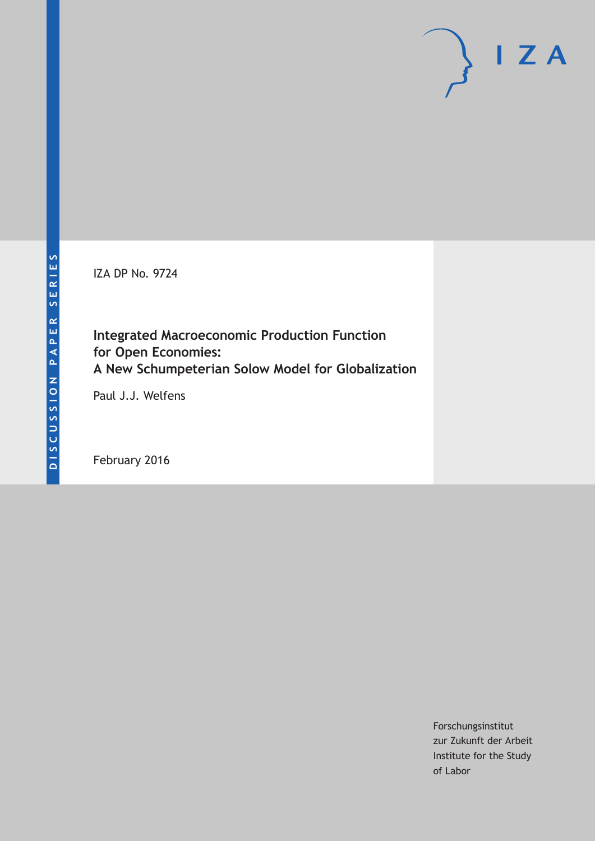IZA DP No. 9724

**Integrated Macroeconomic Production Function for Open Economies: A New Schumpeterian Solow Model for Globalization**

Paul J.J. Welfens

February 2016

Forschungsinstitut zur Zukunft der Arbeit Institute for the Study of Labor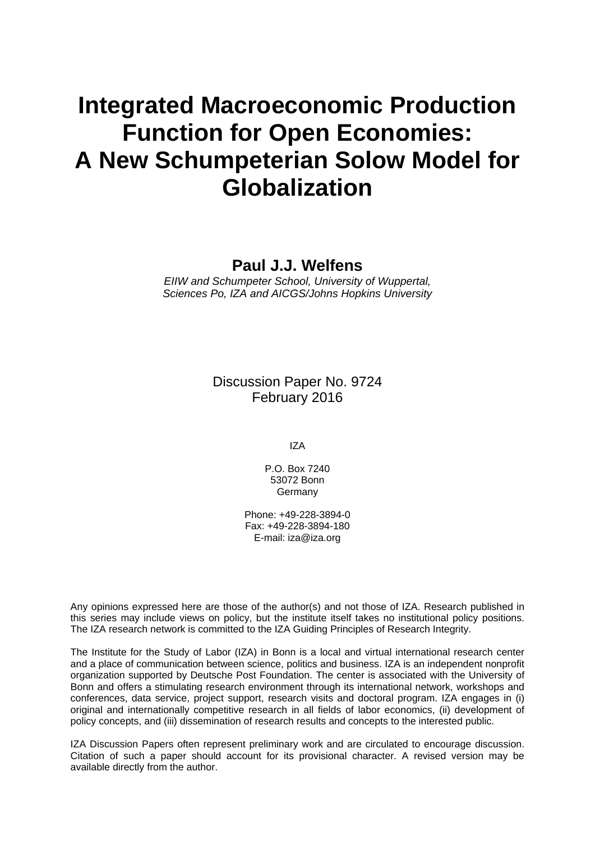# **Integrated Macroeconomic Production Function for Open Economies: A New Schumpeterian Solow Model for Globalization**

### **Paul J.J. Welfens**

*EIIW and Schumpeter School, University of Wuppertal, Sciences Po, IZA and AICGS/Johns Hopkins University* 

> Discussion Paper No. 9724 February 2016

> > IZA

P.O. Box 7240 53072 Bonn Germany

Phone: +49-228-3894-0 Fax: +49-228-3894-180 E-mail: iza@iza.org

Any opinions expressed here are those of the author(s) and not those of IZA. Research published in this series may include views on policy, but the institute itself takes no institutional policy positions. The IZA research network is committed to the IZA Guiding Principles of Research Integrity.

The Institute for the Study of Labor (IZA) in Bonn is a local and virtual international research center and a place of communication between science, politics and business. IZA is an independent nonprofit organization supported by Deutsche Post Foundation. The center is associated with the University of Bonn and offers a stimulating research environment through its international network, workshops and conferences, data service, project support, research visits and doctoral program. IZA engages in (i) original and internationally competitive research in all fields of labor economics, (ii) development of policy concepts, and (iii) dissemination of research results and concepts to the interested public.

IZA Discussion Papers often represent preliminary work and are circulated to encourage discussion. Citation of such a paper should account for its provisional character. A revised version may be available directly from the author.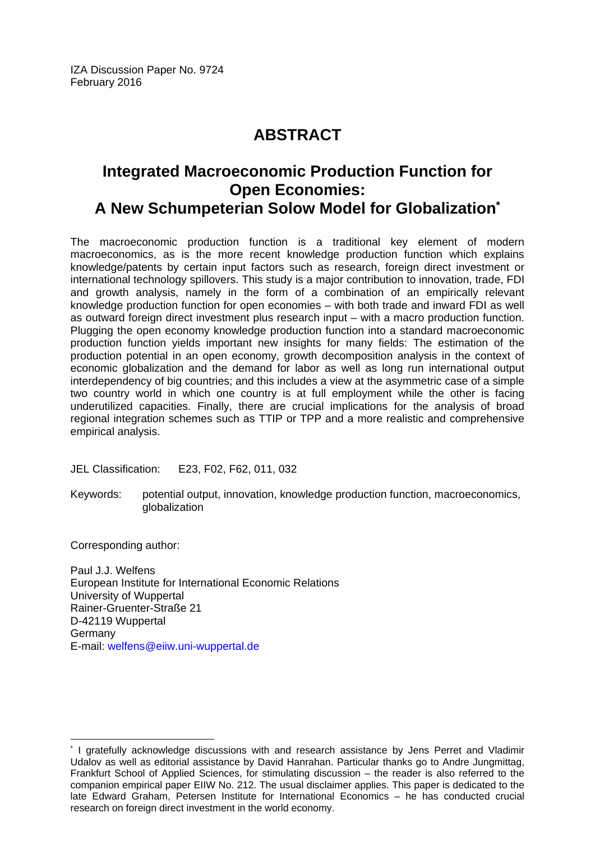IZA Discussion Paper No. 9724 February 2016

# **ABSTRACT**

# **Integrated Macroeconomic Production Function for Open Economies: A New Schumpeterian Solow Model for Globalization\***

The macroeconomic production function is a traditional key element of modern macroeconomics, as is the more recent knowledge production function which explains knowledge/patents by certain input factors such as research, foreign direct investment or international technology spillovers. This study is a major contribution to innovation, trade, FDI and growth analysis, namely in the form of a combination of an empirically relevant knowledge production function for open economies – with both trade and inward FDI as well as outward foreign direct investment plus research input – with a macro production function. Plugging the open economy knowledge production function into a standard macroeconomic production function yields important new insights for many fields: The estimation of the production potential in an open economy, growth decomposition analysis in the context of economic globalization and the demand for labor as well as long run international output interdependency of big countries; and this includes a view at the asymmetric case of a simple two country world in which one country is at full employment while the other is facing underutilized capacities. Finally, there are crucial implications for the analysis of broad regional integration schemes such as TTIP or TPP and a more realistic and comprehensive empirical analysis.

JEL Classification: E23, F02, F62, 011, 032

Keywords: potential output, innovation, knowledge production function, macroeconomics, globalization

Corresponding author:

 $\overline{a}$ 

Paul J.J. Welfens European Institute for International Economic Relations University of Wuppertal Rainer-Gruenter-Straße 21 D-42119 Wuppertal Germany E-mail: welfens@eiiw.uni-wuppertal.de

<sup>\*</sup> I gratefully acknowledge discussions with and research assistance by Jens Perret and Vladimir Udalov as well as editorial assistance by David Hanrahan. Particular thanks go to Andre Jungmittag, Frankfurt School of Applied Sciences, for stimulating discussion – the reader is also referred to the companion empirical paper EIIW No. 212. The usual disclaimer applies. This paper is dedicated to the late Edward Graham, Petersen Institute for International Economics – he has conducted crucial research on foreign direct investment in the world economy.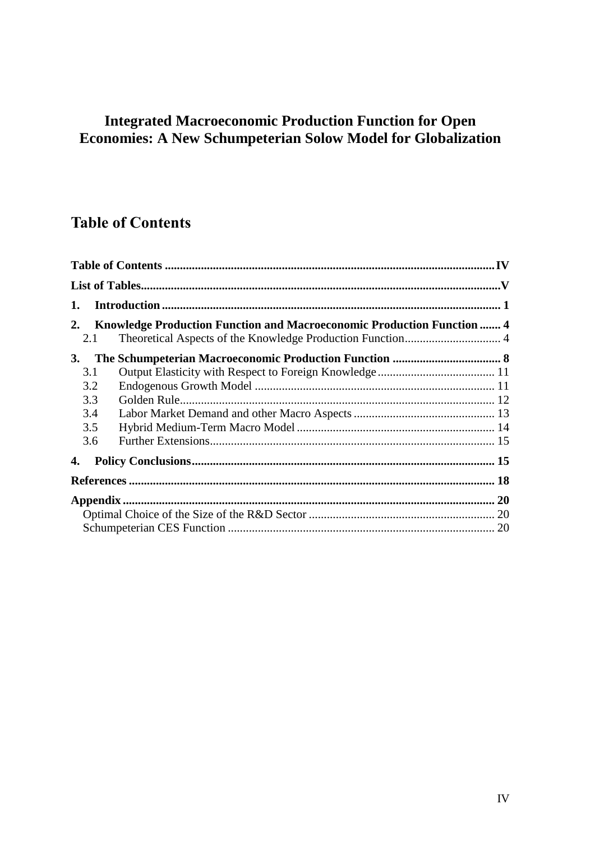# **Integrated Macroeconomic Production Function for Open Economies: A New Schumpeterian Solow Model for Globalization**

# **Table of Contents**

| 1.        |                                                                               |  |  |  |  |
|-----------|-------------------------------------------------------------------------------|--|--|--|--|
| 2.        | <b>Knowledge Production Function and Macroeconomic Production Function  4</b> |  |  |  |  |
|           | 2.1                                                                           |  |  |  |  |
| <b>3.</b> |                                                                               |  |  |  |  |
| 3.1       |                                                                               |  |  |  |  |
|           | 3.2                                                                           |  |  |  |  |
| 3.3       |                                                                               |  |  |  |  |
| 3.4       |                                                                               |  |  |  |  |
| 3.5       |                                                                               |  |  |  |  |
|           | 3.6                                                                           |  |  |  |  |
| 4.        |                                                                               |  |  |  |  |
|           |                                                                               |  |  |  |  |
|           |                                                                               |  |  |  |  |
|           |                                                                               |  |  |  |  |
|           |                                                                               |  |  |  |  |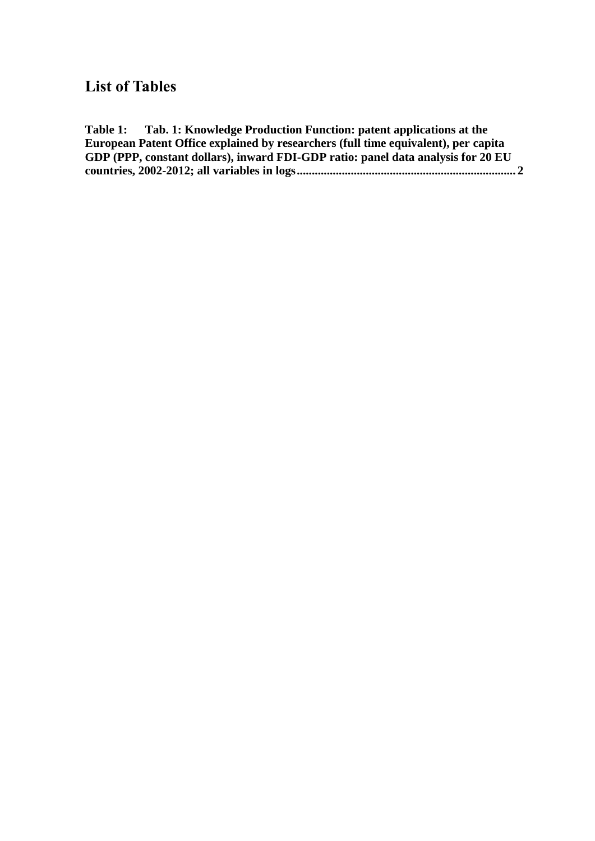# **List of Tables**

**Table 1: [Tab. 1: Knowledge Production Function: patent applications at the](#page-7-0)  [European Patent Office explained by researchers \(full time equivalent\), per capita](#page-7-0)  [GDP \(PPP, constant dollars\), inward FDI-GDP ratio: panel data analysis for 20 EU](#page-7-0)  [countries, 2002-2012; all variables in logs.........................................................................](#page-7-0) 2**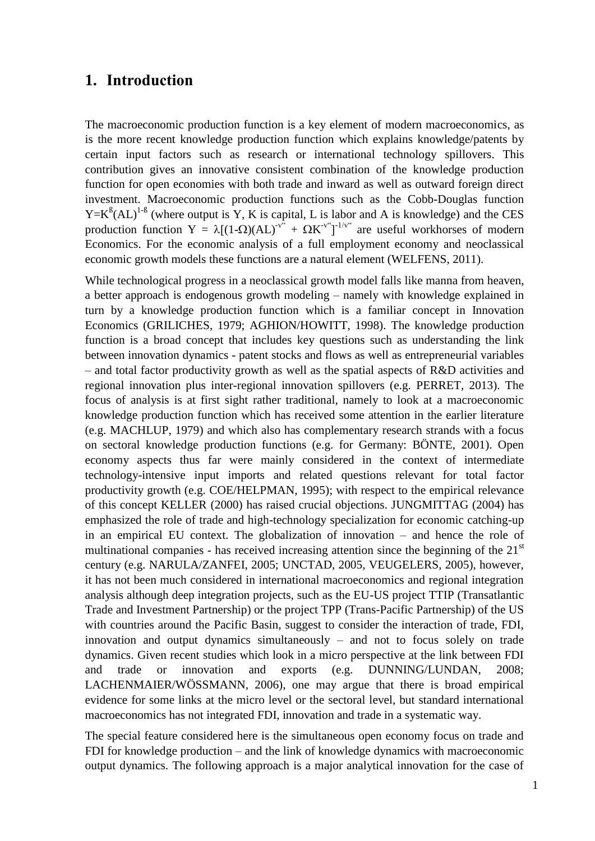#### **1. Introduction**

The macroeconomic production function is a key element of modern macroeconomics, as is the more recent knowledge production function which explains knowledge/patents by certain input factors such as research or international technology spillovers. This contribution gives an innovative consistent combination of the knowledge production function for open economies with both trade and inward as well as outward foreign direct investment. Macroeconomic production functions such as the Cobb-Douglas function  $Y=K^{B}(AL)^{1-B}$  (where output is Y, K is capital, L is labor and A is knowledge) and the CES production function  $Y = \lambda [(1-\Omega)(AL)^{-v^{i}} + \Omega K^{-v^{i}}]^{-1/v^{i}}$  are useful workhorses of modern Economics. For the economic analysis of a full employment economy and neoclassical economic growth models these functions are a natural element (WELFENS, 2011).

While technological progress in a neoclassical growth model falls like manna from heaven, a better approach is endogenous growth modeling – namely with knowledge explained in turn by a knowledge production function which is a familiar concept in Innovation Economics (GRILICHES, 1979; AGHION/HOWITT, 1998). The knowledge production function is a broad concept that includes key questions such as understanding the link between innovation dynamics - patent stocks and flows as well as entrepreneurial variables – and total factor productivity growth as well as the spatial aspects of R&D activities and regional innovation plus inter-regional innovation spillovers (e.g. PERRET, 2013). The focus of analysis is at first sight rather traditional, namely to look at a macroeconomic knowledge production function which has received some attention in the earlier literature (e.g. MACHLUP, 1979) and which also has complementary research strands with a focus on sectoral knowledge production functions (e.g. for Germany: BÖNTE, 2001). Open economy aspects thus far were mainly considered in the context of intermediate technology-intensive input imports and related questions relevant for total factor productivity growth (e.g. COE/HELPMAN, 1995); with respect to the empirical relevance of this concept KELLER (2000) has raised crucial objections. JUNGMITTAG (2004) has emphasized the role of trade and high-technology specialization for economic catching-up in an empirical EU context. The globalization of innovation – and hence the role of multinational companies - has received increasing attention since the beginning of the  $21<sup>st</sup>$ century (e.g. NARULA/ZANFEI, 2005; UNCTAD, 2005, VEUGELERS, 2005), however, it has not been much considered in international macroeconomics and regional integration analysis although deep integration projects, such as the EU-US project TTIP (Transatlantic Trade and Investment Partnership) or the project TPP (Trans-Pacific Partnership) of the US with countries around the Pacific Basin, suggest to consider the interaction of trade, FDI, innovation and output dynamics simultaneously – and not to focus solely on trade dynamics. Given recent studies which look in a micro perspective at the link between FDI and trade or innovation and exports (e.g. DUNNING/LUNDAN, 2008; LACHENMAIER/WÖSSMANN, 2006), one may argue that there is broad empirical evidence for some links at the micro level or the sectoral level, but standard international macroeconomics has not integrated FDI, innovation and trade in a systematic way.

The special feature considered here is the simultaneous open economy focus on trade and FDI for knowledge production – and the link of knowledge dynamics with macroeconomic output dynamics. The following approach is a major analytical innovation for the case of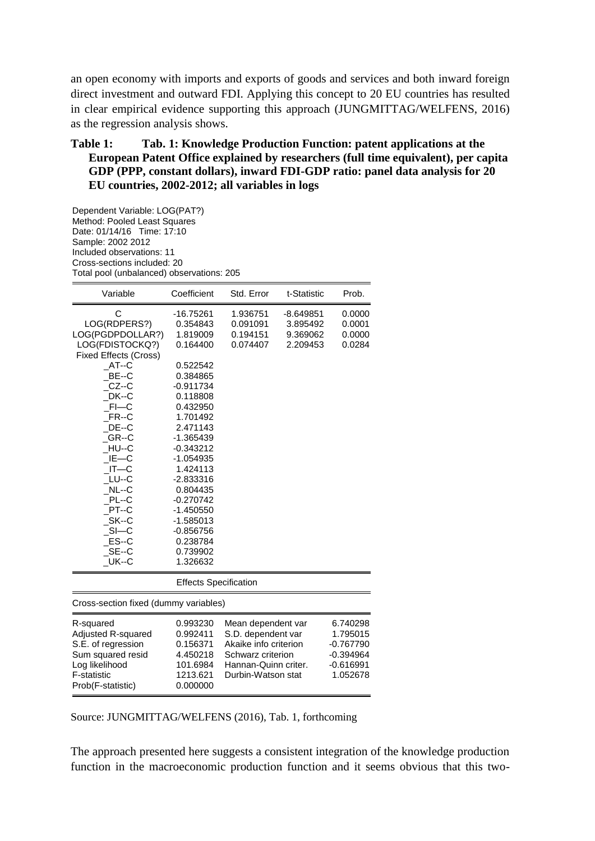an open economy with imports and exports of goods and services and both inward foreign direct investment and outward FDI. Applying this concept to 20 EU countries has resulted in clear empirical evidence supporting this approach (JUNGMITTAG/WELFENS, 2016) as the regression analysis shows.

#### <span id="page-7-0"></span>**Table 1: Tab. 1: Knowledge Production Function: patent applications at the European Patent Office explained by researchers (full time equivalent), per capita GDP (PPP, constant dollars), inward FDI-GDP ratio: panel data analysis for 20 EU countries, 2002-2012; all variables in logs**

Dependent Variable: LOG(PAT?) Method: Pooled Least Squares Date: 01/14/16 Time: 17:10 Sample: 2002 2012 Included observations: 11 Cross-sections included: 20 Total pool (unbalanced) observations: 205

| Variable                                                                                                                                                                                                                                                                    | Coefficient                                                                                                                                                                                                                                                                                    | Std. Error                                                                                                                           | t-Statistic                                     | Prob.                                                                       |  |  |  |
|-----------------------------------------------------------------------------------------------------------------------------------------------------------------------------------------------------------------------------------------------------------------------------|------------------------------------------------------------------------------------------------------------------------------------------------------------------------------------------------------------------------------------------------------------------------------------------------|--------------------------------------------------------------------------------------------------------------------------------------|-------------------------------------------------|-----------------------------------------------------------------------------|--|--|--|
| C<br>LOG(RDPERS?)<br>LOG(PGDPDOLLAR?)<br>LOG(FDISTOCKQ?)<br><b>Fixed Effects (Cross)</b><br>$AT-C$<br>$BE-C$<br>$CZ-C$<br>DK--C<br>$FI$ -C<br>$FR-C$<br>DE--C<br>GR--C<br>$HU-C$<br>$IE$ — $C$<br>$IT-C$<br>LU--C<br>$NL-C$<br>PL--C<br>PT--C<br>SK--C<br>$SI - C$<br>ES--C | $-16.75261$<br>0.354843<br>1.819009<br>0.164400<br>0.522542<br>0.384865<br>$-0.911734$<br>0.118808<br>0.432950<br>1.701492<br>2.471143<br>$-1.365439$<br>$-0.343212$<br>-1.054935<br>1.424113<br>-2.833316<br>0.804435<br>$-0.270742$<br>$-1.450550$<br>$-1.585013$<br>$-0.856756$<br>0.238784 | 1.936751<br>0.091091<br>0.194151<br>0.074407                                                                                         | $-8.649851$<br>3.895492<br>9.369062<br>2.209453 | 0.0000<br>0.0001<br>0.0000<br>0.0284                                        |  |  |  |
| $SE-C$<br>$_U$ UK--C                                                                                                                                                                                                                                                        | 0.739902<br>1.326632                                                                                                                                                                                                                                                                           |                                                                                                                                      |                                                 |                                                                             |  |  |  |
| <b>Effects Specification</b>                                                                                                                                                                                                                                                |                                                                                                                                                                                                                                                                                                |                                                                                                                                      |                                                 |                                                                             |  |  |  |
| Cross-section fixed (dummy variables)                                                                                                                                                                                                                                       |                                                                                                                                                                                                                                                                                                |                                                                                                                                      |                                                 |                                                                             |  |  |  |
| R-squared<br>Adjusted R-squared<br>S.E. of regression<br>Sum squared resid<br>Log likelihood<br><b>F-statistic</b><br>Prob(F-statistic)                                                                                                                                     | 0.993230<br>0.992411<br>0.156371<br>4.450218<br>101.6984<br>1213.621<br>0.000000                                                                                                                                                                                                               | Mean dependent var<br>S.D. dependent var<br>Akaike info criterion<br>Schwarz criterion<br>Hannan-Quinn criter.<br>Durbin-Watson stat |                                                 | 6.740298<br>1.795015<br>$-0.767790$<br>-0.394964<br>$-0.616991$<br>1.052678 |  |  |  |

Source: JUNGMITTAG/WELFENS (2016), Tab. 1, forthcoming

The approach presented here suggests a consistent integration of the knowledge production function in the macroeconomic production function and it seems obvious that this two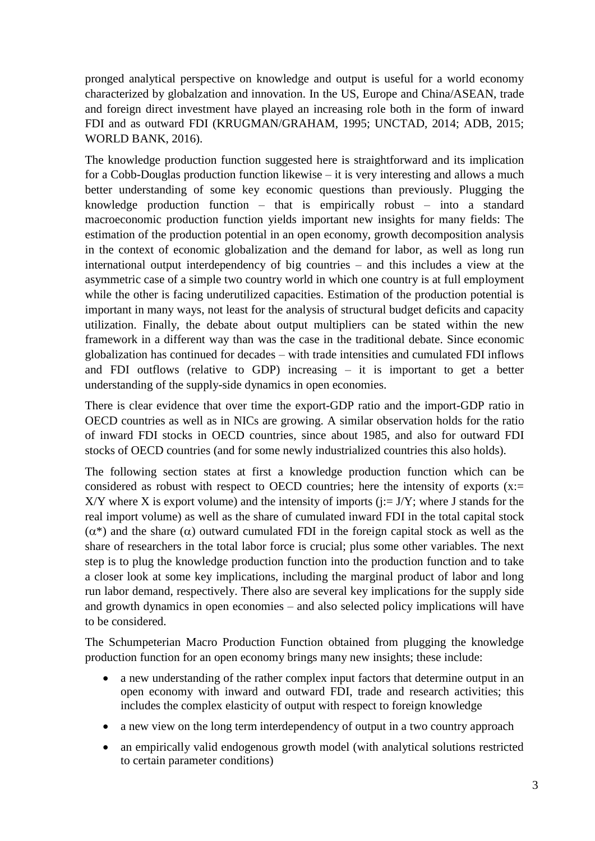pronged analytical perspective on knowledge and output is useful for a world economy characterized by globalzation and innovation. In the US, Europe and China/ASEAN, trade and foreign direct investment have played an increasing role both in the form of inward FDI and as outward FDI (KRUGMAN/GRAHAM, 1995; UNCTAD, 2014; ADB, 2015; WORLD BANK, 2016).

The knowledge production function suggested here is straightforward and its implication for a Cobb-Douglas production function likewise – it is very interesting and allows a much better understanding of some key economic questions than previously. Plugging the knowledge production function – that is empirically robust – into a standard macroeconomic production function yields important new insights for many fields: The estimation of the production potential in an open economy, growth decomposition analysis in the context of economic globalization and the demand for labor, as well as long run international output interdependency of big countries – and this includes a view at the asymmetric case of a simple two country world in which one country is at full employment while the other is facing underutilized capacities. Estimation of the production potential is important in many ways, not least for the analysis of structural budget deficits and capacity utilization. Finally, the debate about output multipliers can be stated within the new framework in a different way than was the case in the traditional debate. Since economic globalization has continued for decades – with trade intensities and cumulated FDI inflows and FDI outflows (relative to GDP) increasing – it is important to get a better understanding of the supply-side dynamics in open economies.

There is clear evidence that over time the export-GDP ratio and the import-GDP ratio in OECD countries as well as in NICs are growing. A similar observation holds for the ratio of inward FDI stocks in OECD countries, since about 1985, and also for outward FDI stocks of OECD countries (and for some newly industrialized countries this also holds).

The following section states at first a knowledge production function which can be considered as robust with respect to OECD countries; here the intensity of exports  $(x)=$ X/Y where X is export volume) and the intensity of imports ( $j := J/Y$ ; where J stands for the real import volume) as well as the share of cumulated inward FDI in the total capital stock  $(\alpha^*)$  and the share  $(\alpha)$  outward cumulated FDI in the foreign capital stock as well as the share of researchers in the total labor force is crucial; plus some other variables. The next step is to plug the knowledge production function into the production function and to take a closer look at some key implications, including the marginal product of labor and long run labor demand, respectively. There also are several key implications for the supply side and growth dynamics in open economies – and also selected policy implications will have to be considered.

The Schumpeterian Macro Production Function obtained from plugging the knowledge production function for an open economy brings many new insights; these include:

- a new understanding of the rather complex input factors that determine output in an open economy with inward and outward FDI, trade and research activities; this includes the complex elasticity of output with respect to foreign knowledge
- a new view on the long term interdependency of output in a two country approach
- an empirically valid endogenous growth model (with analytical solutions restricted to certain parameter conditions)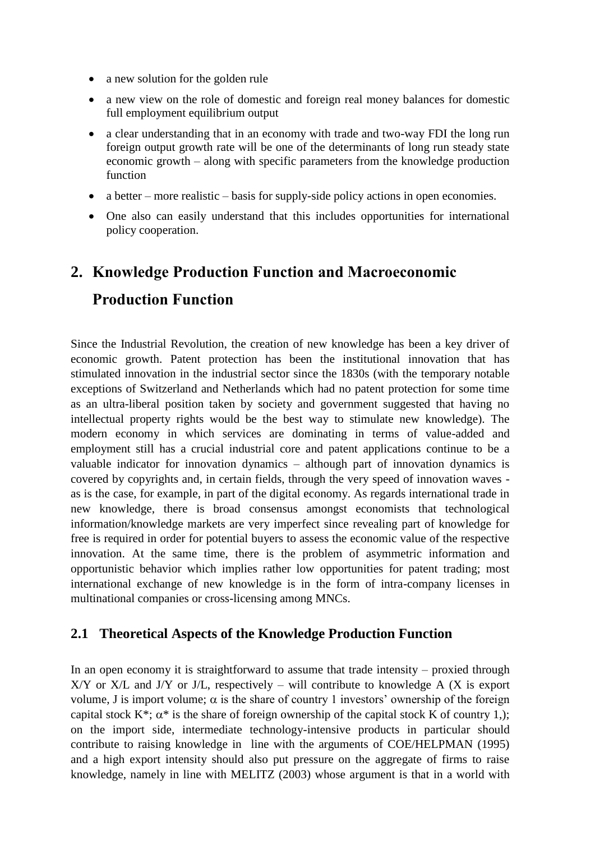- a new solution for the golden rule
- a new view on the role of domestic and foreign real money balances for domestic full employment equilibrium output
- a clear understanding that in an economy with trade and two-way FDI the long run foreign output growth rate will be one of the determinants of long run steady state economic growth – along with specific parameters from the knowledge production function
- a better more realistic basis for supply-side policy actions in open economies.
- One also can easily understand that this includes opportunities for international policy cooperation.

# **2. Knowledge Production Function and Macroeconomic**

# **Production Function**

Since the Industrial Revolution, the creation of new knowledge has been a key driver of economic growth. Patent protection has been the institutional innovation that has stimulated innovation in the industrial sector since the 1830s (with the temporary notable exceptions of Switzerland and Netherlands which had no patent protection for some time as an ultra-liberal position taken by society and government suggested that having no intellectual property rights would be the best way to stimulate new knowledge). The modern economy in which services are dominating in terms of value-added and employment still has a crucial industrial core and patent applications continue to be a valuable indicator for innovation dynamics – although part of innovation dynamics is covered by copyrights and, in certain fields, through the very speed of innovation waves as is the case, for example, in part of the digital economy. As regards international trade in new knowledge, there is broad consensus amongst economists that technological information/knowledge markets are very imperfect since revealing part of knowledge for free is required in order for potential buyers to assess the economic value of the respective innovation. At the same time, there is the problem of asymmetric information and opportunistic behavior which implies rather low opportunities for patent trading; most international exchange of new knowledge is in the form of intra-company licenses in multinational companies or cross-licensing among MNCs.

#### **2.1 Theoretical Aspects of the Knowledge Production Function**

In an open economy it is straightforward to assume that trade intensity – proxied through  $X/Y$  or  $X/L$  and  $J/Y$  or  $J/L$ , respectively – will contribute to knowledge A (X is export volume, J is import volume;  $\alpha$  is the share of country 1 investors' ownership of the foreign capital stock K<sup>\*</sup>;  $\alpha$ <sup>\*</sup> is the share of foreign ownership of the capital stock K of country 1,); on the import side, intermediate technology-intensive products in particular should contribute to raising knowledge in line with the arguments of COE/HELPMAN (1995) and a high export intensity should also put pressure on the aggregate of firms to raise knowledge, namely in line with MELITZ (2003) whose argument is that in a world with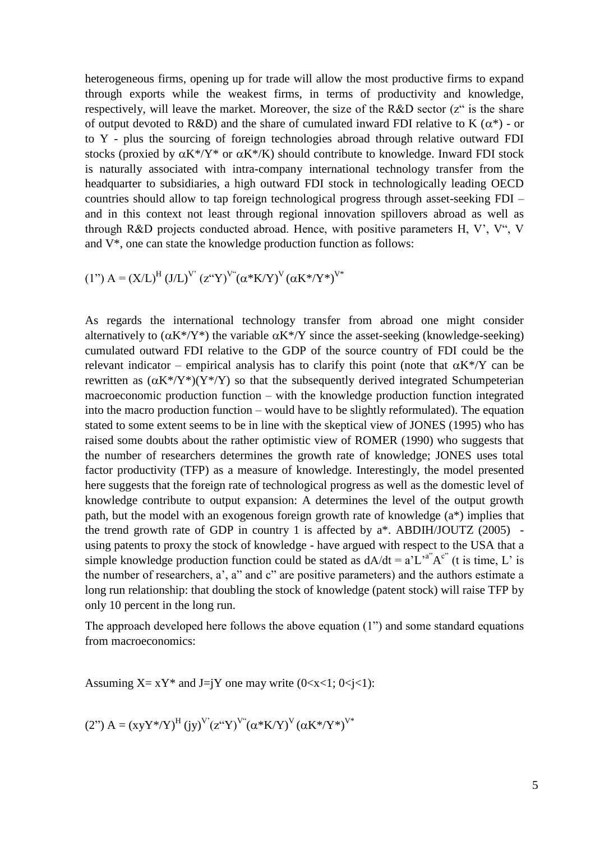heterogeneous firms, opening up for trade will allow the most productive firms to expand through exports while the weakest firms, in terms of productivity and knowledge, respectively, will leave the market. Moreover, the size of the R&D sector (z" is the share of output devoted to R&D) and the share of cumulated inward FDI relative to K  $(\alpha^*)$  - or to Y - plus the sourcing of foreign technologies abroad through relative outward FDI stocks (proxied by  $\alpha K^*/Y^*$  or  $\alpha K^*/K$ ) should contribute to knowledge. Inward FDI stock is naturally associated with intra-company international technology transfer from the headquarter to subsidiaries, a high outward FDI stock in technologically leading OECD countries should allow to tap foreign technological progress through asset-seeking FDI – and in this context not least through regional innovation spillovers abroad as well as through R&D projects conducted abroad. Hence, with positive parameters H, V', V", V and V\*, one can state the knowledge production function as follows:

(1") 
$$
A = (X/L)^H (J/L)^V (z^{\alpha}Y)^{V^{\alpha}} (\alpha^*K/Y)^V (\alpha K^* / Y^*)^{V^*}
$$

As regards the international technology transfer from abroad one might consider alternatively to  $(\alpha K^*/Y^*)$  the variable  $\alpha K^*/Y$  since the asset-seeking (knowledge-seeking) cumulated outward FDI relative to the GDP of the source country of FDI could be the relevant indicator – empirical analysis has to clarify this point (note that  $\alpha K^{\ast}/Y$  can be rewritten as  $(\alpha K^*/Y^*)(Y^*/Y)$  so that the subsequently derived integrated Schumpeterian macroeconomic production function – with the knowledge production function integrated into the macro production function – would have to be slightly reformulated). The equation stated to some extent seems to be in line with the skeptical view of JONES (1995) who has raised some doubts about the rather optimistic view of ROMER (1990) who suggests that the number of researchers determines the growth rate of knowledge; JONES uses total factor productivity (TFP) as a measure of knowledge. Interestingly, the model presented here suggests that the foreign rate of technological progress as well as the domestic level of knowledge contribute to output expansion: A determines the level of the output growth path, but the model with an exogenous foreign growth rate of knowledge (a\*) implies that the trend growth rate of GDP in country 1 is affected by  $a^*$ . ABDIH/JOUTZ (2005) using patents to proxy the stock of knowledge - have argued with respect to the USA that a simple knowledge production function could be stated as  $dA/dt = a'L^{a}A^{c}$  (t is time, L' is the number of researchers, a', a" and c" are positive parameters) and the authors estimate a long run relationship: that doubling the stock of knowledge (patent stock) will raise TFP by only 10 percent in the long run.

The approach developed here follows the above equation (1") and some standard equations from macroeconomics:

Assuming  $X = xY^*$  and  $J=iY$  one may write  $(0 < x < 1; 0 < i < 1)$ :

(2") 
$$
A = (xyY^*/Y)^H (jy)^V (z^*Y)^V (\alpha^*K/Y)^V (\alpha K^*/Y^*)^{V^*}
$$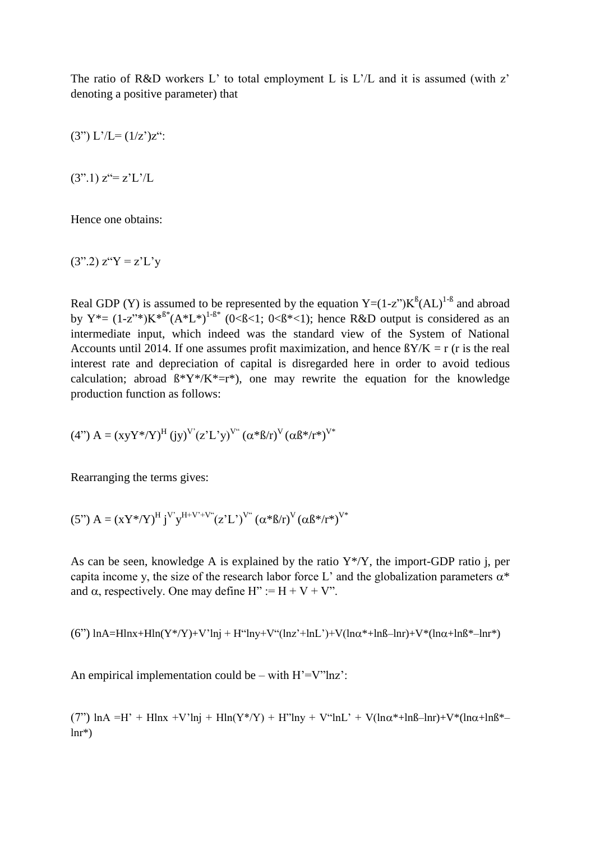The ratio of R&D workers L' to total employment L is L'/L and it is assumed (with z' denoting a positive parameter) that

 $(3") L'/L = (1/z')z$ ":

 $(3".1)$   $z^{\prime} = z^{\prime} L^{\prime} / L$ 

Hence one obtains:

 $(3"$ .2)  $z''Y = z'L'y$ 

Real GDP (Y) is assumed to be represented by the equation  $Y=(1-z^{\prime})K^{\beta}(AL)^{1-\beta}$  and abroad by  $Y^* = (1-z^{**})K^{*B^*}(A^*L^*)^{1-B^*}$  (0<B<1; 0<B\*<1); hence R&D output is considered as an intermediate input, which indeed was the standard view of the System of National Accounts until 2014. If one assumes profit maximization, and hence  $\frac{8Y}{K} = r$  (r is the real interest rate and depreciation of capital is disregarded here in order to avoid tedious calculation; abroad  $\beta^*Y^*/K^*=r^*$ ), one may rewrite the equation for the knowledge production function as follows:

$$
(4")\ A=\left(xyY^{\ast}/Y\right)^{H}\left(jy\right)^{V'}\left(z'L'y\right)^{V''}\left(\alpha^{\ast}\beta/r\right)^{V}\left(\alpha\beta^{\ast}/r^{\ast}\right)^{V^{\ast}}
$$

Rearranging the terms gives:

$$
(5") A = (xY^* / Y)^H j^V y^{H + V^* + V^*} (z' L^*)^{V^*} (\alpha^* \beta / r)^V (\alpha \beta^* / r^*)^{V^*}
$$

As can be seen, knowledge A is explained by the ratio  $Y^*$ / $Y$ , the import-GDP ratio j, per capita income y, the size of the research labor force L' and the globalization parameters  $\alpha^*$ and  $\alpha$ , respectively. One may define H" := H + V + V".

(6")  $ln A = Hln x + Hln(Y^* / Y) + V^* ln j + H^* ln y + V^* (ln z^* + ln L^*) + V(ln \alpha^* + ln \beta - ln r) + V^* (ln \alpha + ln \beta^* - ln r^*)$ 

An empirical implementation could be – with  $H' = V''$ lnz':

(7")  $\ln A = H' + H\ln x + V'\ln i + H\ln(Y^* / Y) + H''\ln y + V''\ln L' + V(\ln \alpha^* + \ln \beta - \ln r) + V^* (\ln \alpha + \ln \beta^*$  $lnr^*$ )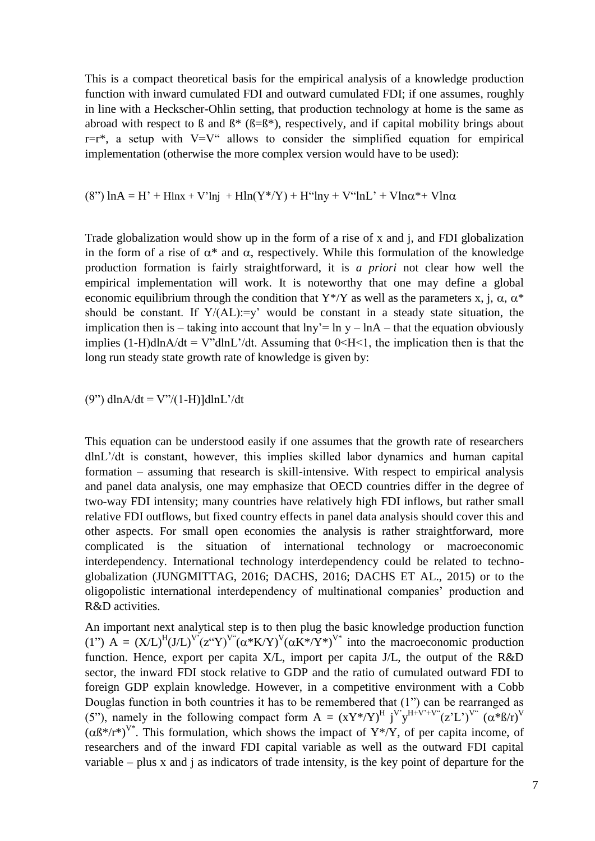This is a compact theoretical basis for the empirical analysis of a knowledge production function with inward cumulated FDI and outward cumulated FDI; if one assumes, roughly in line with a Heckscher-Ohlin setting, that production technology at home is the same as abroad with respect to  $\beta$  and  $\beta^*$  ( $\beta = \beta^*$ ), respectively, and if capital mobility brings about  $r=r^*$ , a setup with  $V=V^{\prime\prime}$  allows to consider the simplified equation for empirical implementation (otherwise the more complex version would have to be used):

(8")  $\ln A = H' + H\ln x + V'\ln j + H\ln(Y^* / Y) + H''\ln y + V''\ln L' + V\ln \alpha^* + V\ln \alpha$ 

Trade globalization would show up in the form of a rise of x and j, and FDI globalization in the form of a rise of  $\alpha^*$  and  $\alpha$ , respectively. While this formulation of the knowledge production formation is fairly straightforward, it is *a priori* not clear how well the empirical implementation will work. It is noteworthy that one may define a global economic equilibrium through the condition that Y\*/Y as well as the parameters x, j,  $\alpha$ ,  $\alpha^*$ should be constant. If  $Y/(AL)=v'$  would be constant in a steady state situation, the implication then is – taking into account that  $ln y = ln y - ln A$  – that the equation obviously implies  $(1-H)dlnA/dt = V''dlnL'/dt$ . Assuming that  $0 \leq H \leq 1$ , the implication then is that the long run steady state growth rate of knowledge is given by:

(9") dlnA/dt =  $V''/(1-H)$ ]dlnL'/dt

This equation can be understood easily if one assumes that the growth rate of researchers dlnL'/dt is constant, however, this implies skilled labor dynamics and human capital formation – assuming that research is skill-intensive. With respect to empirical analysis and panel data analysis, one may emphasize that OECD countries differ in the degree of two-way FDI intensity; many countries have relatively high FDI inflows, but rather small relative FDI outflows, but fixed country effects in panel data analysis should cover this and other aspects. For small open economies the analysis is rather straightforward, more complicated is the situation of international technology or macroeconomic interdependency. International technology interdependency could be related to technoglobalization (JUNGMITTAG, 2016; DACHS, 2016; DACHS ET AL., 2015) or to the oligopolistic international interdependency of multinational companies' production and R&D activities.

An important next analytical step is to then plug the basic knowledge production function (1") A =  $(X/L)^H (J/L)^V (z^{\alpha} Y)^V (\alpha^* K/Y)^V (\alpha K^* / Y^*)^{V^*}$  into the macroeconomic production function. Hence, export per capita X/L, import per capita J/L, the output of the R&D sector, the inward FDI stock relative to GDP and the ratio of cumulated outward FDI to foreign GDP explain knowledge. However, in a competitive environment with a Cobb Douglas function in both countries it has to be remembered that (1") can be rearranged as (5"), namely in the following compact form  $A = (XY^* / Y)^H j^V y^{H+V^*+V^*}(z'L^*)^{V^*} (\alpha^* \beta / r)^V$  $(\alpha\beta^*/r^*)^V$ <sup>\*</sup>. This formulation, which shows the impact of Y<sup>\*</sup>/Y, of per capita income, of researchers and of the inward FDI capital variable as well as the outward FDI capital variable – plus x and j as indicators of trade intensity, is the key point of departure for the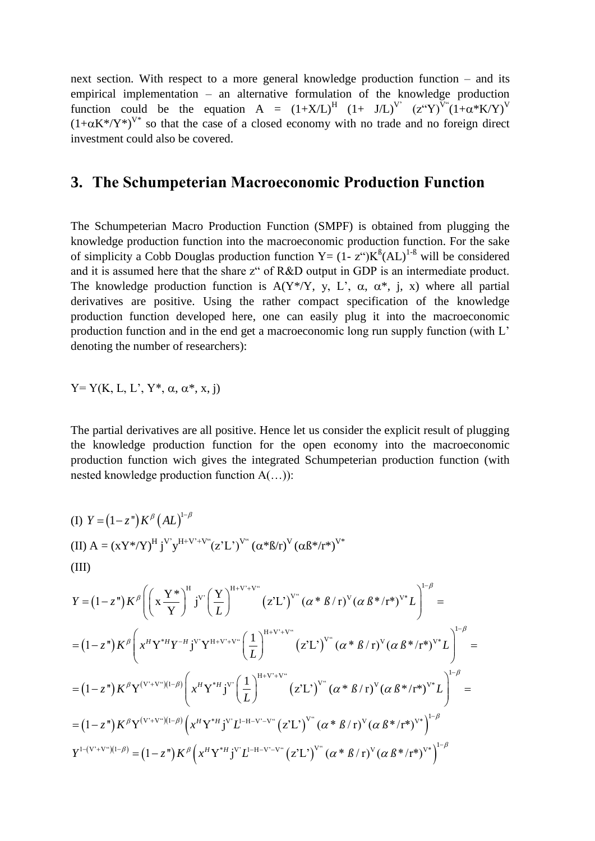next section. With respect to a more general knowledge production function – and its empirical implementation – an alternative formulation of the knowledge production function could be the equation A =  $(1+X/L)^H$   $(1+ J/L)^V$   $(z^{\alpha}Y)^{V^{\alpha}}(1+\alpha*K/Y)^V$  $(1+\alpha K^*/Y^*)^V$ <sup>\*</sup> so that the case of a closed economy with no trade and no foreign direct investment could also be covered.

# **3. The Schumpeterian Macroeconomic Production Function**

The Schumpeterian Macro Production Function (SMPF) is obtained from plugging the knowledge production function into the macroeconomic production function. For the sake of simplicity a Cobb Douglas production function  $Y = (1 - z^{\alpha})K^{\beta}(AL)^{1-\beta}$  will be considered and it is assumed here that the share z" of R&D output in GDP is an intermediate product. The knowledge production function is  $A(Y^* / Y, y, L', \alpha, \alpha^*, j, x)$  where all partial derivatives are positive. Using the rather compact specification of the knowledge production function developed here, one can easily plug it into the macroeconomic production function and in the end get a macroeconomic long run supply function (with L' denoting the number of researchers):

$$
Y = Y(K, L, L', Y^*, \alpha, \alpha^*, x, j)
$$

The partial derivatives are all positive. Hence let us consider the explicit result of plugging the knowledge production function for the open economy into the macroeconomic production function wich gives the integrated Schumpeterian production function (with nested knowledge production function A(…)):

$$
(I) Y = (1 - zn) K\beta (AL)1-\beta
$$
  
\n
$$
(II) A = (xY*/Y)H jV yH+V+V4 (z'L')V4 (α*β/r)V (αβ*/r*)V*
$$
  
\n
$$
(III)
$$
  
\n
$$
Y = (1 - zn) K\beta \left( \left( x \frac{Y*}{Y} \right)H jV' \left( \frac{Y}{L} \right)H+V+V4 (z'L')V4 (α*β/r)V (αβ*/r*)V* L \right)1-\beta =
$$
  
\n
$$
= (1 - zn) K\beta \left( xH Y*H Y-H jV YH+V+V4 \left( \frac{1}{L} \right)H+V+V4 (z'L')V4 (α*β/r)V (αβ*/r*)V* L \right)1-\beta =
$$
  
\n
$$
= (1 - zn) K\beta Y(V'+V4)(1-\beta) \left( xH Y*H jV' \left( \frac{1}{L} \right)H+V+V4 (z'L')V4 (α*β/r)V (αβ*/r*)V* L \right)1-\beta =
$$
  
\n
$$
= (1 - zn) K\beta Y(V'+V4)(1-\beta) \left( xH Y*H jV' L1-H-V'-V4 (z'L')V4 (α*β/r)V (αβ*/r*)V* \right)1-\beta
$$
  
\n
$$
Y
$$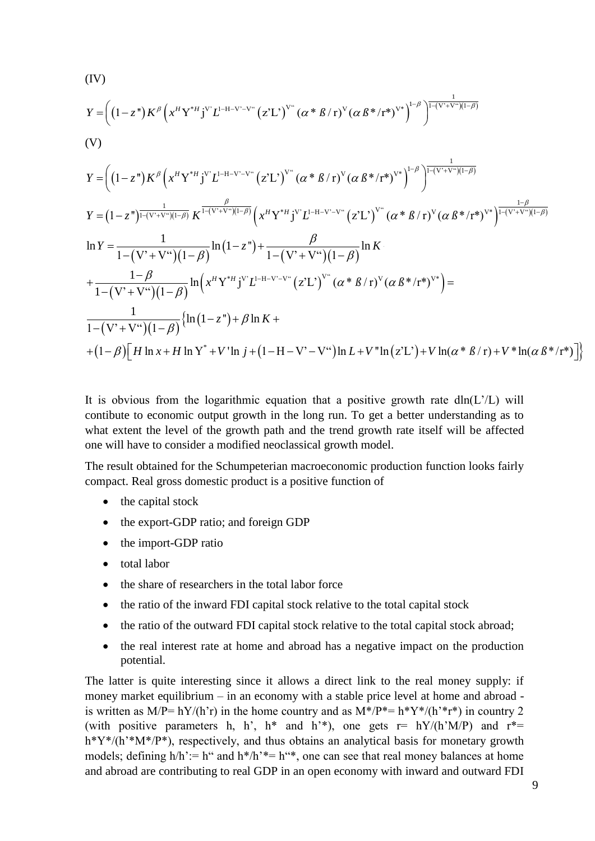$$
(IV)
$$
\n
$$
Y = \left( (1-z^*) K^{\beta} \left( x^H Y^{*H} j^{V} L^{-H-V-V^*} (z^* L')^{V^*} (\alpha * \beta / r)^{V} (\alpha \beta * (r^*)^{V^*} )^{-\beta} \right)^{\frac{1}{1-(V^*+V^*) (1-\beta)}}
$$
\n
$$
(V)
$$
\n
$$
Y = \left( (1-z^*) K^{\beta} \left( x^H Y^{*H} j^{V} L^{-H-V-V^*} (z^* L')^{V^*} (\alpha * \beta / r)^{V} (\alpha \beta * (r^*)^{V^*} )^{-\beta} \right)^{\frac{1}{1-(V^*+V^*) (1-\beta)}}
$$
\n
$$
Y = (1-z^*)^{\frac{1}{1-(V^*+V^*) (1-\beta)}} K^{\frac{\beta}{1-(V^*+V^*) (1-\beta)}} \left( x^H Y^{*H} j^{V} L^{-H-V-V^*} (z^* L')^{V^*} (\alpha * \beta / r)^{V} (\alpha \beta * (r^*)^{V^*} )^{-\frac{1-\beta}{1-(V^*+V^*) (1-\beta)}}
$$
\n
$$
\ln Y = \frac{1}{1-(V^*+V^*) (1-\beta)} \ln (1-z^*) + \frac{\beta}{1-(V^*+V^*) (1-\beta)} \ln K
$$
\n
$$
+ \frac{1-\beta}{1-(V^*+V^*) (1-\beta)} \ln (x^H Y^{*H} j^{V} L^{-H-V-V^*} (z^* L')^{V^*} (\alpha * \beta / r)^{V} (\alpha \beta * (r^*)^{V^*} )^{-\beta}
$$
\n
$$
\frac{1}{1-(V^*+V^*) (1-\beta)} \left\{ \ln (1-z^*) + \beta \ln K +
$$
\n
$$
+ (1-\beta) [H \ln x + H \ln Y^* + V' \ln j + (1-H-V^* - V^*) \ln L + V'' \ln (z^* L') + V \ln (\alpha * \beta / r) + V^* \ln (\alpha \beta * (r^*) )] \right\}
$$

It is obvious from the logarithmic equation that a positive growth rate  $dln(L'/L)$  will contibute to economic output growth in the long run. To get a better understanding as to what extent the level of the growth path and the trend growth rate itself will be affected one will have to consider a modified neoclassical growth model.

The result obtained for the Schumpeterian macroeconomic production function looks fairly compact. Real gross domestic product is a positive function of

- $\bullet$  the capital stock
- the export-GDP ratio; and foreign GDP
- the import-GDP ratio
- total labor
- the share of researchers in the total labor force
- the ratio of the inward FDI capital stock relative to the total capital stock
- the ratio of the outward FDI capital stock relative to the total capital stock abroad;
- the real interest rate at home and abroad has a negative impact on the production potential.

The latter is quite interesting since it allows a direct link to the real money supply: if money market equilibrium – in an economy with a stable price level at home and abroad is written as M/P= hY/(h'r) in the home country and as  $M^*/P^* = h^*Y^*/(h^*r^*)$  in country 2 (with positive parameters h, h', h<sup>\*</sup> and h<sup>'\*</sup>), one gets  $r = hY/(h'M/P)$  and  $r^* =$ h\*Y\*/(h'\*M\*/P\*), respectively, and thus obtains an analytical basis for monetary growth models; defining  $h/h' := h''$  and  $h*/h' = h''*,$  one can see that real money balances at home and abroad are contributing to real GDP in an open economy with inward and outward FDI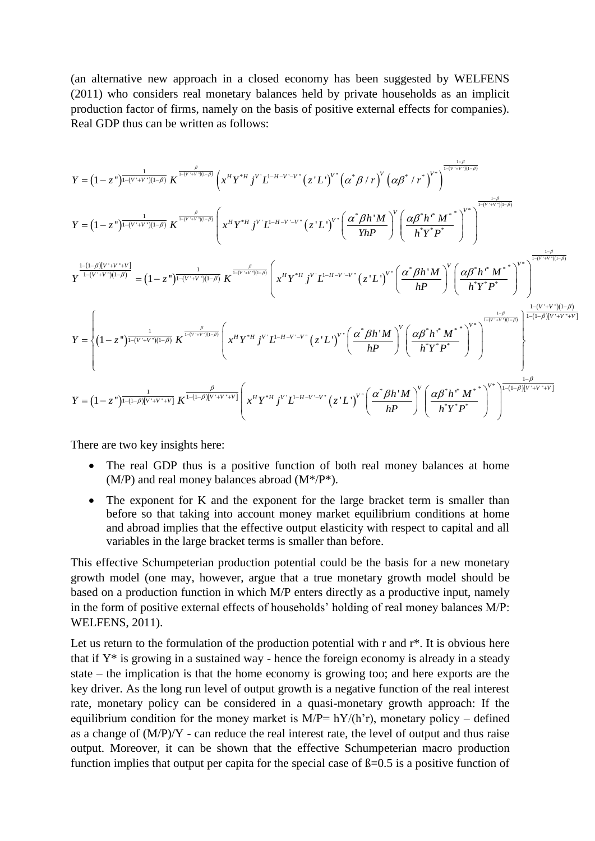(an alternative new approach in a closed economy has been suggested by WELFENS (2011) who considers real monetary balances held by private households as an implicit production factor of firms, namely on the basis of positive external effects for companies).

Real GDP thus can be written as follows:  
\n
$$
Y = (1 - z^{n})^{\frac{1}{1-(V+V)(1-\beta)}} K^{\frac{\sigma}{1-(V+V)(1-\beta)}} \left(x^{N} Y^{*H} j^{V} L^{1-H-V-V^{*}} (z^{*} L^{V})^{V^{*}} (\alpha^{*} \beta / r)^{V} (\alpha \beta^{*} / r^{*})^{V^{*}}\right)^{\frac{1-\beta}{1-(V+V)(1-\beta)}}
$$
\n
$$
Y = (1 - z^{n})^{\frac{1}{1-(V+V)(1-\beta)}} K^{\frac{1}{1-(V+V)(1-\beta)}} \left(x^{N} Y^{*H} j^{V} L^{1-H-V-V^{*}} (z^{*} L^{V})^{V^{*}} \left(\frac{\alpha^{*} \beta h^{*} M}{Yh P}\right)^{V} \left(\frac{\alpha \beta^{*} h^{*} M^{*}}{\beta Y^{*} P^{*}}\right)^{V^{*}}\right)^{\frac{1-\beta}{1-(V+V)(1-\beta)}}
$$
\n
$$
Y^{\frac{1-(1-\beta)[V+V+V]}{1-(V+V)(1-\beta)}} = (1 - z^{n})^{\frac{1}{1-(V+V)(1-\beta)}} K^{\frac{\beta}{1-(V+V)(1-\beta)}} K^{\frac{\beta}{1-(V+V)(1-\beta)}} \left(x^{N} Y^{*H} j^{V} L^{1-H-V-V^{*}} (z^{*} L^{V})^{V^{*}} \left(\frac{\alpha^{*} \beta h^{*} M}{h P}\right)^{V} \left(\frac{\alpha \beta^{*} h^{*} M^{*}}{\alpha h P}\right)^{V^{*}}\right)^{\frac{1-\beta}{1-(V+V)(1-\beta)}}
$$
\n
$$
Y = \begin{cases}\n(1 - z^{n})^{\frac{1}{1-(V+V)(1-\beta)}} K^{\frac{\beta}{1-(V+V)(1-\beta)}} K^{\frac{\beta}{1-(V+V)(1-\beta)}} K^{\frac{\beta}{1-(V+V)(1-\beta)}} K^{\frac{\beta}{1-(V+V)(1-\beta)}} K^{\frac{\beta}{1-(V+V)(1-\beta)}}
$$
\n
$$
X^{H} Y^{*H} j^{V} L^{1-H-V-V^{*}} (z^{*} L^{V})^{V^{*}} \left(\frac{\alpha^{*} \beta h^{*} M}{h P}\right)^{V} \left(\frac{\alpha \beta^{*} h^{*} M^{*}}{\alpha h^{*} P^{*}}\right)^{V^{*}}
$$

There are two key insights here:

- The real GDP thus is a positive function of both real money balances at home  $(M/P)$  and real money balances abroad  $(M*/P^*)$ .
- The exponent for K and the exponent for the large bracket term is smaller than before so that taking into account money market equilibrium conditions at home and abroad implies that the effective output elasticity with respect to capital and all variables in the large bracket terms is smaller than before.

This effective Schumpeterian production potential could be the basis for a new monetary growth model (one may, however, argue that a true monetary growth model should be based on a production function in which M/P enters directly as a productive input, namely in the form of positive external effects of households' holding of real money balances M/P: WELFENS, 2011).

Let us return to the formulation of the production potential with r and  $r^*$ . It is obvious here that if  $Y^*$  is growing in a sustained way - hence the foreign economy is already in a steady state – the implication is that the home economy is growing too; and here exports are the key driver. As the long run level of output growth is a negative function of the real interest rate, monetary policy can be considered in a quasi-monetary growth approach: If the equilibrium condition for the money market is  $M/P= hY/(h'r)$ , monetary policy – defined as a change of  $(M/P)/Y$  - can reduce the real interest rate, the level of output and thus raise output. Moreover, it can be shown that the effective Schumpeterian macro production function implies that output per capita for the special case of  $\beta$ =0.5 is a positive function of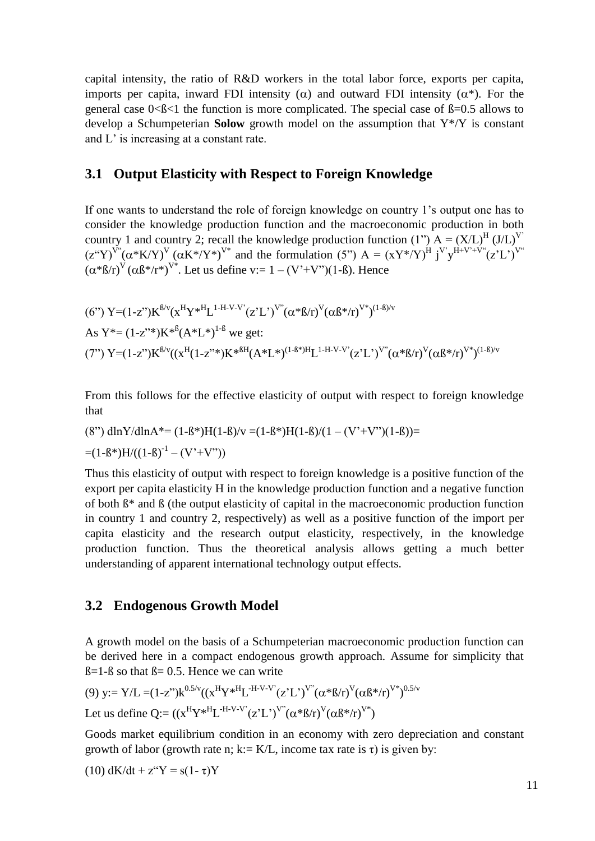capital intensity, the ratio of R&D workers in the total labor force, exports per capita, imports per capita, inward FDI intensity ( $\alpha$ ) and outward FDI intensity ( $\alpha^*$ ). For the general case  $0<\beta<1$  the function is more complicated. The special case of  $\beta=0.5$  allows to develop a Schumpeterian **Solow** growth model on the assumption that Y\*/Y is constant and L' is increasing at a constant rate.

#### **3.1 Output Elasticity with Respect to Foreign Knowledge**

If one wants to understand the role of foreign knowledge on country 1's output one has to consider the knowledge production function and the macroeconomic production in both country 1 and country 2; recall the knowledge production function (1")  $A = (X/L)^{H} (J/L)^{V'}$  $(z''Y)^{V''}(\alpha*K/Y)^V(\alpha K*/Y^*)^{V^*}$  and the formulation (5")  $A = (XY^*/Y)^H j^{V'}y^{H+V^*+V''}(z'L')^{V''}$  $(\alpha^*B/r)^V(\alpha B^*/r^*)^{V^*}$ . Let us define v:= 1 – (V'+V'')(1-B). Hence

$$
(6") Y=(1-z")K^{B/v}(x^HY*^HL^{1-H-V-V'}(z'L')^{V''}(a*B/r)^V(\alpha B*/r)^{V*})^{(1-B)/v}
$$
  
As Y\*= (1-z"\*)K\*<sup>8</sup>(A\*L\*)<sup>1-8</sup> we get:  
(7") Y=(1-z")K<sup>B/v</sup>((x<sup>H</sup>(1-z"\*)K\*<sup>8H</sup>(A\*L\*)<sup>(1-B\*)H</sup>L<sup>1-H-V-V'</sup>(z'L')<sup>V''</sup>( $\alpha$ \*B/r)<sup>V</sup>( $\alpha$ B\*/r)<sup>V\*</sup>)<sup>(1-B)/v</sup>

From this follows for the effective elasticity of output with respect to foreign knowledge that

(8") 
$$
\frac{dlnY}{dlnA^*} = (1 - B^*)H(1 - B)/v = (1 - B^*)H(1 - B)/(1 - (V^* + V^*)(1 - B)) =
$$
  
=  $(1 - B^*)H/((1 - B)^{-1} - (V^* + V^*))$ 

Thus this elasticity of output with respect to foreign knowledge is a positive function of the export per capita elasticity H in the knowledge production function and a negative function of both ß\* and ß (the output elasticity of capital in the macroeconomic production function in country 1 and country 2, respectively) as well as a positive function of the import per capita elasticity and the research output elasticity, respectively, in the knowledge production function. Thus the theoretical analysis allows getting a much better understanding of apparent international technology output effects.

#### **3.2 Endogenous Growth Model**

A growth model on the basis of a Schumpeterian macroeconomic production function can be derived here in a compact endogenous growth approach. Assume for simplicity that  $\beta$ =1- $\beta$  so that  $\beta$ = 0.5. Hence we can write

(9) y:= Y/L = (1-z")k<sup>0.5/v</sup>((x<sup>H</sup>Y\*<sup>H</sup>L<sup>-H-V-V'</sup>(z'L')<sup>V''</sup>(
$$
\alpha
$$
\* $\beta$ /r)<sup>V</sup>( $\alpha\beta$ \* $\beta$ )<sup>V\*</sup>)<sup>0.5/v</sup>  
Let us define Q:=( $(xHY*HL-H-V-V'(z'L')V''( $\alpha$ * $\beta$ /r)<sup>V</sup>( $\alpha\beta$ * $\beta$ )<sup>V*</sup>)$ 

Goods market equilibrium condition in an economy with zero depreciation and constant growth of labor (growth rate n; k:= K/L, income tax rate is  $\tau$ ) is given by:

$$
(10) dK/dt + z^{\alpha}Y = s(1 - \tau)Y
$$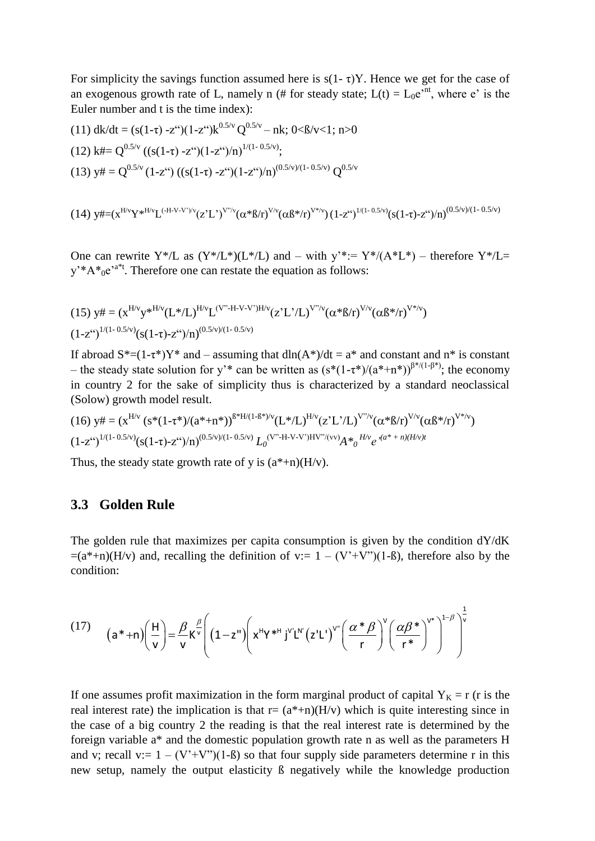For simplicity the savings function assumed here is  $s(1 - \tau)Y$ . Hence we get for the case of an exogenous growth rate of L, namely n (# for steady state;  $L(t) = L_0 e^{int}$ , where e' is the Euler number and t is the time index):

(11) 
$$
dk/dt = (s(1-\tau) - z^{\epsilon})(1-z^{\epsilon})k^{0.5/\nu}Q^{0.5/\nu} - nk; 0 < 0 < 0 < 1
$$
; n>0  
(12)  $k \# = Q^{0.5/\nu} ((s(1-\tau) - z^{\epsilon})(1-z^{\epsilon})/n)^{1/(1-0.5/\nu)};$   
(13)  $y \# = Q^{0.5/\nu} (1-z^{\epsilon}) ((s(1-\tau) - z^{\epsilon})(1-z^{\epsilon})/n)^{(0.5/\nu)/(1-0.5/\nu)}Q^{0.5/\nu}$ 

$$
(14)\hskip 1.5mm y\#=(x^{H/v}Y^{*H/v}L^{(H-V-V')/v}(z'L')^{V''/v}(\alpha^*B/r)^{V/v}(\alpha\beta^*/r)^{V'*/v})(1-z^{\varepsilon})^{l/(1-0.5/v)}(s(1-\tau)-z^{\varepsilon\varepsilon})/n)^{(0.5/v)/(1-0.5/v)}
$$

One can rewrite Y\*/L as  $(Y^*/L^*)(L^*/L)$  and – with  $y^*:= Y^*/(A^*L^*)$  – therefore Y\*/L=  $y^*A^*e^{a^*t}$ . Therefore one can restate the equation as follows:

(15) 
$$
y \# = (x^{H/v} y^{*H/v} (L*/L)^{H/v} L^{(V'' \cdot H \cdot V \cdot V')H/v} (z'L'/L)^{V''/v} (\alpha^* \beta/r)^{V/v} (\alpha \beta^* / r)^{V^* / v})
$$
  
\n $(1-z^{(c)})^{1/(1-0.5/v)} (s(1-\tau)-z^{(c)})/n)^{(0.5/v)/(1-0.5/v)}$ 

If abroad  $S^*=(1-\tau^*)Y^*$  and – assuming that dln(A\*)/dt = a\* and constant and n\* is constant – the steady state solution for y'\* can be written as  $(s*(1-\tau^*)/(a^*+n^*))^{\beta^*/(1-\beta^*)}$ ; the economy in country 2 for the sake of simplicity thus is characterized by a standard neoclassical (Solow) growth model result.

$$
(16) \ y \# = (x^{\text{H/v}} \ (s^*(1-\tau^*)/(a^*+\pi^*))^{6^* \text{H/(1-}6^*)/v} (L^* / L)^{\text{H/v}} (z^* L')^{V''/v} (\alpha^* \beta / r)^{V/v} (\alpha \beta^* / r)^{V^* / v})
$$
  

$$
(1-z^{\text{``}})^{1/(1-0.5/v)} (s(1-\tau)-z^{\text{``}})/n)^{(0.5/v)/(1-0.5/v)} L_0^{(V'' \cdot H - V - V')H V''/(vv)} A^*_{0}{}^{H/v} e^{\lambda (a^*+\pi)/(H/v)t}
$$

Thus, the steady state growth rate of y is  $(a^*+n)(H/v)$ .

#### **3.3 Golden Rule**

The golden rule that maximizes per capita consumption is given by the condition dY/dK  $=(a^*+n)(H/v)$  and, recalling the definition of v:= 1 –  $(V^+V^*)(1-\beta)$ , therefore also by the condition:

= 
$$
(a^*+n)(H/v)
$$
 and, recalling the definition of v:=  $1 - (V'+V'')(1-\beta)$ , therefore also by the  
condition:  

$$
(17) \qquad (a^*+n)\left(\frac{H}{v}\right) = \frac{\beta}{v} K^{\frac{\beta}{v}} \left( (1-z^n) \left( x^H Y^{*H} j^{v'} L^{N'} (z'L')^{v''} \left( \frac{\alpha \ast \beta}{r} \right)^{v} \left( \frac{\alpha \beta \ast}{r^*} \right)^{v^*} \right)^{1-\beta} \right)^{\frac{1}{v}}
$$

If one assumes profit maximization in the form marginal product of capital  $Y_K = r$  (r is the real interest rate) the implication is that  $r = (a^*+n)(H/v)$  which is quite interesting since in the case of a big country 2 the reading is that the real interest rate is determined by the foreign variable a\* and the domestic population growth rate n as well as the parameters H and v; recall v:=  $1 - (V^*+V^*)(1-\beta)$  so that four supply side parameters determine r in this new setup, namely the output elasticity ß negatively while the knowledge production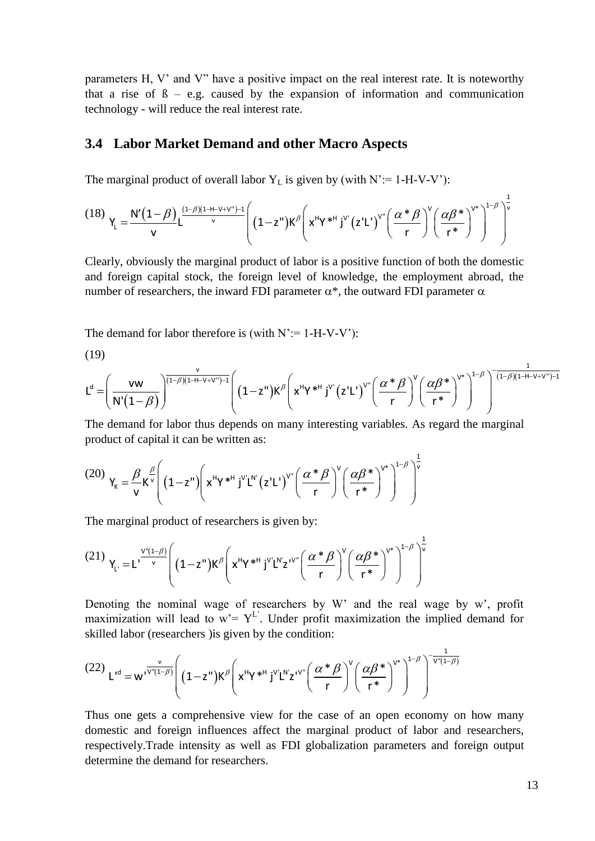parameters H, V' and V" have a positive impact on the real interest rate. It is noteworthy that a rise of  $\beta$  – e.g. caused by the expansion of information and communication technology - will reduce the real interest rate.

#### **3.4 Labor Market Demand and other Macro Aspects**

3.4 Labor Market Demand and other Marco Aspects  
\nThe marginal product of overall labor Y<sub>L</sub> is given by (with N':= 1-H-V-V'):  
\n(18) 
$$
Y_L = \frac{N'(1-\beta)}{V} L^{\frac{(1-\beta)(1+H-V+V'')-1}{V}} \left( (1-z'')K^{\beta} \left( x^H Y^{*H} j^{V'} (z'L')^{V''} \left( \frac{\alpha^* \beta}{r} \right)^V \left( \frac{\alpha \beta^*}{r^*} \right)^{V^*} \right)^{1-\beta} \right)^{\frac{1}{V}}
$$
\nClearly, obviously the marginal product of labor is a positive function of both the domestic

Clearly, obviously the marginal product of labor is a positive function of both the domestic and foreign capital stock, the foreign level of knowledge, the employment abroad, the number of researchers, the inward FDI parameter  $\alpha^*$ , the outward FDI parameter  $\alpha$ 

The demand for labor therefore is (with  $N' = 1-H-V-V'$ ):

(19)

number of researchers, the inward FDI parameter 
$$
\alpha^*
$$
, the outward FDI parameter  $\alpha$   
\nThe demand for labor therefore is (with N':= 1-H-V-V'):  
\n(19)  
\n
$$
L^{d} = \left(\frac{vw}{N'(1-\beta)}\right)^{\frac{v}{(1-\beta)(1-H-V+V'')-1}} \left( (1-z^{u})K^{\beta} \left(x^{u}Y^{u}Y^{v}Y^{v}\right)^{v}(z'L^{v})^{v}\left(\frac{\alpha^{u}R}{r}\right)^{v}\left(\frac{\alpha\beta^{u}Y^{v}}{r^{u}}\right)^{1-\beta}\right)^{-\frac{1}{(1-\beta)(1-H-V+V'')-1}}
$$
\nThe demand for labor thus depends on many interesting variables. As regard the marginal

The demand for labor thus depends on many interesting variables. As regard the marginal product of capital it can be written as:  
\n
$$
(20) \gamma_{\mathbf{k}} = \frac{\beta}{v} \kappa^{\frac{\beta}{v}} \left( (1 - z^{\mathsf{H}}) \left( \kappa^{\mathsf{H}} \gamma^{\mathsf{H}} \right)^{v} L^{\mathsf{H}} (z^{\mathsf{H}} L^{\mathsf{H}}) \left( \frac{\alpha^* \beta}{r} \right)^{v} \left( \frac{\alpha \beta^*}{r^*} \right)^{v^*} \right)^{\frac{1}{v}}
$$

The marginal product of researchers is given by:  
\n(21) 
$$
Y_L = L^{\frac{V''(1-\beta)}{V}} \left( (1-z^{\nu})K^{\beta} \left( x^H Y^{*H} j^{V} L^{N} z^{IV^{\nu}} \left( \frac{\alpha * \beta}{r} \right)^{V} \left( \frac{\alpha \beta *}{r^*} \right)^{V^*} \right)^{1-\beta} \right)^{\frac{1}{V}}
$$

Denoting the nominal wage of researchers by W' and the real wage by w', profit maximization will lead to w'= Y<sup>L'</sup>. Under profit maximization the implied demand for skilled labor (researchers ) is given by the condition:<br>

Denoting the nominal wage of researchers by W' and the real wage by w', profit maximization will lead to w' = Y<sup>L'</sup>. Under profit maximization the implied demand for skilled labor (researchers) is given by the condition:  
\n(22) 
$$
L^{1d} = w^{1\sqrt{1-(1-\beta)}} \left( (1-z^n)K^{\beta} \left( x^n Y^{*H} j^V L^N z^{IV^*} \left( \frac{\alpha^* \beta}{r} \right)^V \left( \frac{\alpha \beta^*}{r^*} \right)^{V^*} \right)^{1-\beta} \right)^{-\frac{1}{V^* (1-\beta)}}
$$
\nThus, we get a symmetry function from the same step of an even average, we have

Thus one gets a comprehensive view for the case of an open economy on how many domestic and foreign influences affect the marginal product of labor and researchers, respectively.Trade intensity as well as FDI globalization parameters and foreign output determine the demand for researchers.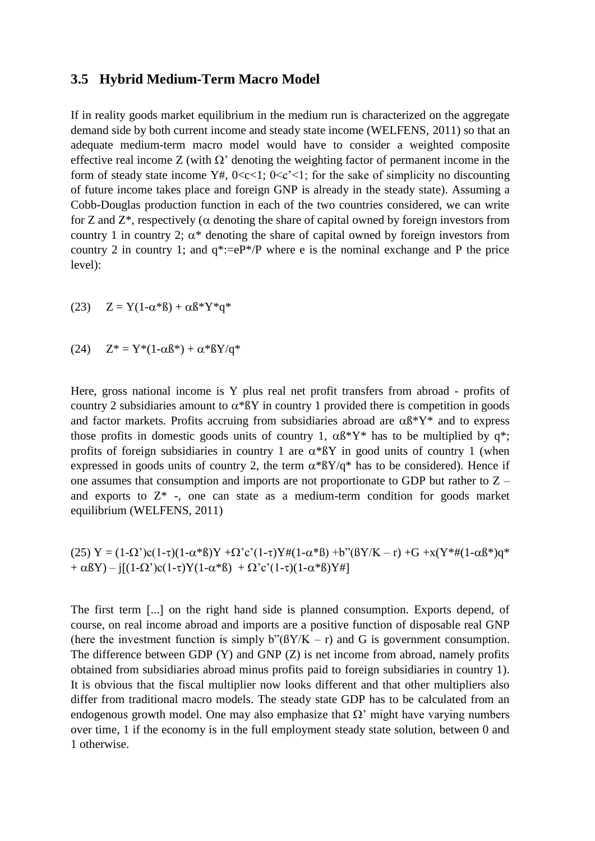#### **3.5 Hybrid Medium-Term Macro Model**

If in reality goods market equilibrium in the medium run is characterized on the aggregate demand side by both current income and steady state income (WELFENS, 2011) so that an adequate medium-term macro model would have to consider a weighted composite effective real income Z (with  $\Omega$ ' denoting the weighting factor of permanent income in the form of steady state income Y#,  $0 < c < 1$ ;  $0 < c' < 1$ ; for the sake of simplicity no discounting of future income takes place and foreign GNP is already in the steady state). Assuming a Cobb-Douglas production function in each of the two countries considered, we can write for Z and  $Z^*$ , respectively ( $\alpha$  denoting the share of capital owned by foreign investors from country 1 in country 2;  $\alpha^*$  denoting the share of capital owned by foreign investors from country 2 in country 1; and  $q^* := eP^*/P$  where e is the nominal exchange and P the price level):

$$
(23) \quad Z = Y(1-\alpha*B) + \alpha B*Y*q*
$$

(24) 
$$
Z^* = Y^*(1 - \alpha \beta^*) + \alpha^* \beta Y / q^*
$$

Here, gross national income is Y plus real net profit transfers from abroad - profits of country 2 subsidiaries amount to  $\alpha$ <sup>\*</sup> $\beta$ Y in country 1 provided there is competition in goods and factor markets. Profits accruing from subsidiaries abroad are  $\alpha \beta^* Y^*$  and to express those profits in domestic goods units of country 1,  $\alpha \beta^* Y^*$  has to be multiplied by q<sup>\*</sup>; profits of foreign subsidiaries in country 1 are  $\alpha$ <sup>\*</sup> $\beta$ Y in good units of country 1 (when expressed in goods units of country 2, the term  $\alpha^* \beta Y/q^*$  has to be considered). Hence if one assumes that consumption and imports are not proportionate to GDP but rather to Z – and exports to  $Z^*$  -, one can state as a medium-term condition for goods market equilibrium (WELFENS, 2011)

$$
(25) Y = (1-\Omega')c(1-\tau)(1-\alpha*B)Y + \Omega' c'(1-\tau)Y\#(1-\alpha*B) + b''(BY/K - r) + G + x(Y^*\#(1-\alpha B^*)q^* + \alpha BY) - j[(1-\Omega')c(1-\tau)Y(1-\alpha*B) + \Omega' c'(1-\tau)(1-\alpha*B)Y\#]
$$

The first term [...] on the right hand side is planned consumption. Exports depend, of course, on real income abroad and imports are a positive function of disposable real GNP (here the investment function is simply  $b''(BY/K - r)$  and G is government consumption. The difference between GDP (Y) and GNP (Z) is net income from abroad, namely profits obtained from subsidiaries abroad minus profits paid to foreign subsidiaries in country 1). It is obvious that the fiscal multiplier now looks different and that other multipliers also differ from traditional macro models. The steady state GDP has to be calculated from an endogenous growth model. One may also emphasize that  $\Omega'$  might have varying numbers over time, 1 if the economy is in the full employment steady state solution, between 0 and 1 otherwise.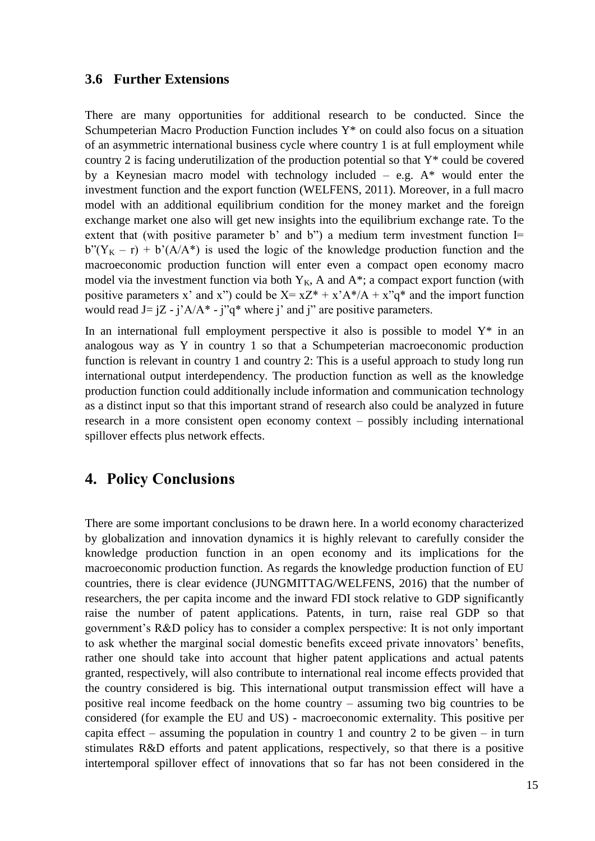#### **3.6 Further Extensions**

There are many opportunities for additional research to be conducted. Since the Schumpeterian Macro Production Function includes Y\* on could also focus on a situation of an asymmetric international business cycle where country 1 is at full employment while country 2 is facing underutilization of the production potential so that Y\* could be covered by a Keynesian macro model with technology included – e.g.  $A^*$  would enter the investment function and the export function (WELFENS, 2011). Moreover, in a full macro model with an additional equilibrium condition for the money market and the foreign exchange market one also will get new insights into the equilibrium exchange rate. To the extent that (with positive parameter b' and b") a medium term investment function  $I=$  $b''(Y_K - r) + b'(A/A^*)$  is used the logic of the knowledge production function and the macroeconomic production function will enter even a compact open economy macro model via the investment function via both  $Y_K$ , A and  $A^*$ ; a compact export function (with positive parameters x' and x") could be  $X = xZ^* + x^A + (A + x^B)q^*$  and the import function would read  $J = iZ - i^A/A^* - i^G *$  where *i*' and *j*" are positive parameters.

In an international full employment perspective it also is possible to model  $Y^*$  in an analogous way as Y in country 1 so that a Schumpeterian macroeconomic production function is relevant in country 1 and country 2: This is a useful approach to study long run international output interdependency. The production function as well as the knowledge production function could additionally include information and communication technology as a distinct input so that this important strand of research also could be analyzed in future research in a more consistent open economy context – possibly including international spillover effects plus network effects.

### **4. Policy Conclusions**

There are some important conclusions to be drawn here. In a world economy characterized by globalization and innovation dynamics it is highly relevant to carefully consider the knowledge production function in an open economy and its implications for the macroeconomic production function. As regards the knowledge production function of EU countries, there is clear evidence (JUNGMITTAG/WELFENS, 2016) that the number of researchers, the per capita income and the inward FDI stock relative to GDP significantly raise the number of patent applications. Patents, in turn, raise real GDP so that government's R&D policy has to consider a complex perspective: It is not only important to ask whether the marginal social domestic benefits exceed private innovators' benefits, rather one should take into account that higher patent applications and actual patents granted, respectively, will also contribute to international real income effects provided that the country considered is big. This international output transmission effect will have a positive real income feedback on the home country – assuming two big countries to be considered (for example the EU and US) - macroeconomic externality. This positive per capita effect – assuming the population in country 1 and country 2 to be given – in turn stimulates R&D efforts and patent applications, respectively, so that there is a positive intertemporal spillover effect of innovations that so far has not been considered in the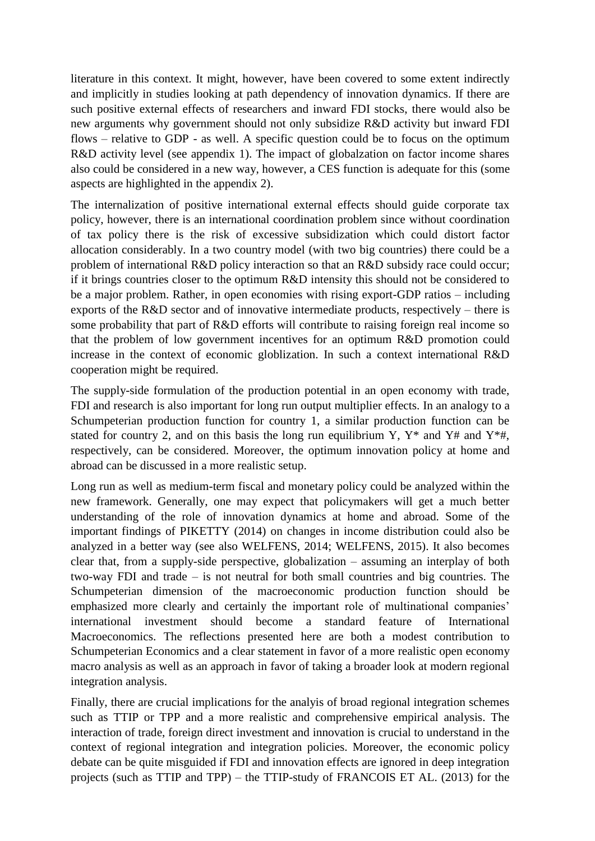literature in this context. It might, however, have been covered to some extent indirectly and implicitly in studies looking at path dependency of innovation dynamics. If there are such positive external effects of researchers and inward FDI stocks, there would also be new arguments why government should not only subsidize R&D activity but inward FDI flows – relative to GDP - as well. A specific question could be to focus on the optimum R&D activity level (see appendix 1). The impact of globalzation on factor income shares also could be considered in a new way, however, a CES function is adequate for this (some aspects are highlighted in the appendix 2).

The internalization of positive international external effects should guide corporate tax policy, however, there is an international coordination problem since without coordination of tax policy there is the risk of excessive subsidization which could distort factor allocation considerably. In a two country model (with two big countries) there could be a problem of international R&D policy interaction so that an R&D subsidy race could occur; if it brings countries closer to the optimum R&D intensity this should not be considered to be a major problem. Rather, in open economies with rising export-GDP ratios – including exports of the R&D sector and of innovative intermediate products, respectively – there is some probability that part of R&D efforts will contribute to raising foreign real income so that the problem of low government incentives for an optimum R&D promotion could increase in the context of economic globlization. In such a context international R&D cooperation might be required.

The supply-side formulation of the production potential in an open economy with trade, FDI and research is also important for long run output multiplier effects. In an analogy to a Schumpeterian production function for country 1, a similar production function can be stated for country 2, and on this basis the long run equilibrium Y,  $Y^*$  and  $Y^*$  and  $Y^*$ #, respectively, can be considered. Moreover, the optimum innovation policy at home and abroad can be discussed in a more realistic setup.

Long run as well as medium-term fiscal and monetary policy could be analyzed within the new framework. Generally, one may expect that policymakers will get a much better understanding of the role of innovation dynamics at home and abroad. Some of the important findings of PIKETTY (2014) on changes in income distribution could also be analyzed in a better way (see also WELFENS, 2014; WELFENS, 2015). It also becomes clear that, from a supply-side perspective, globalization – assuming an interplay of both two-way FDI and trade – is not neutral for both small countries and big countries. The Schumpeterian dimension of the macroeconomic production function should be emphasized more clearly and certainly the important role of multinational companies' international investment should become a standard feature of International Macroeconomics. The reflections presented here are both a modest contribution to Schumpeterian Economics and a clear statement in favor of a more realistic open economy macro analysis as well as an approach in favor of taking a broader look at modern regional integration analysis.

Finally, there are crucial implications for the analyis of broad regional integration schemes such as TTIP or TPP and a more realistic and comprehensive empirical analysis. The interaction of trade, foreign direct investment and innovation is crucial to understand in the context of regional integration and integration policies. Moreover, the economic policy debate can be quite misguided if FDI and innovation effects are ignored in deep integration projects (such as TTIP and TPP) – the TTIP-study of FRANCOIS ET AL. (2013) for the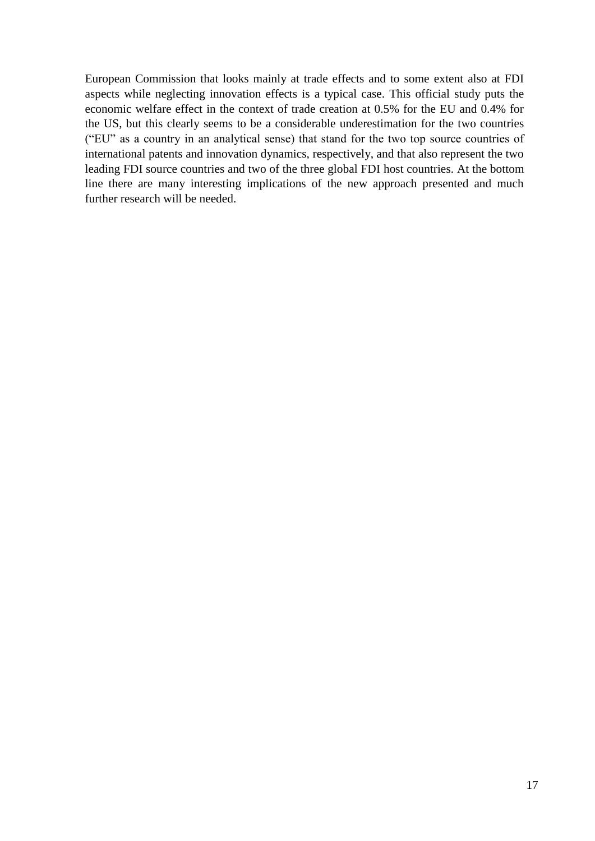European Commission that looks mainly at trade effects and to some extent also at FDI aspects while neglecting innovation effects is a typical case. This official study puts the economic welfare effect in the context of trade creation at 0.5% for the EU and 0.4% for the US, but this clearly seems to be a considerable underestimation for the two countries ("EU" as a country in an analytical sense) that stand for the two top source countries of international patents and innovation dynamics, respectively, and that also represent the two leading FDI source countries and two of the three global FDI host countries. At the bottom line there are many interesting implications of the new approach presented and much further research will be needed.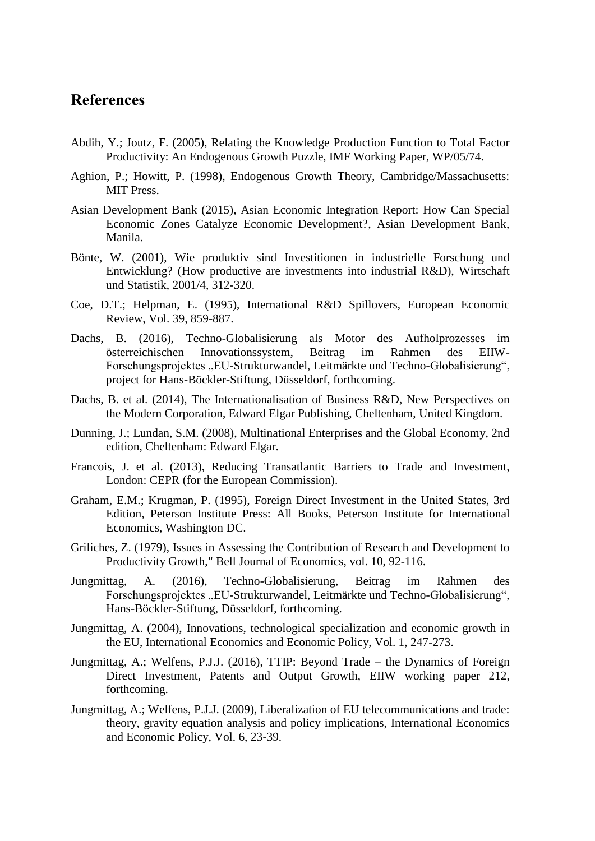### **References**

- Abdih, Y.; Joutz, F. (2005), Relating the Knowledge Production Function to Total Factor Productivity: An Endogenous Growth Puzzle, IMF Working Paper, WP/05/74.
- Aghion, P.; Howitt, P. (1998), Endogenous Growth Theory, Cambridge/Massachusetts: MIT Press.
- Asian Development Bank (2015), Asian Economic Integration Report: How Can Special Economic Zones Catalyze Economic Development?, Asian Development Bank, Manila.
- Bönte, W. (2001), Wie produktiv sind Investitionen in industrielle Forschung und Entwicklung? (How productive are investments into industrial R&D), Wirtschaft und Statistik, 2001/4, 312-320.
- Coe, D.T.; Helpman, E. (1995), International R&D Spillovers, European Economic Review, Vol. 39, 859-887.
- Dachs, B. (2016), Techno-Globalisierung als Motor des Aufholprozesses im österreichischen Innovationssystem, Beitrag im Rahmen des EIIW-Forschungsprojektes "EU-Strukturwandel, Leitmärkte und Techno-Globalisierung", project for Hans-Böckler-Stiftung, Düsseldorf, forthcoming.
- Dachs, B. et al. (2014), The Internationalisation of Business R&D, New Perspectives on the Modern Corporation, Edward Elgar Publishing, Cheltenham, United Kingdom.
- Dunning, J.; Lundan, S.M. (2008), Multinational Enterprises and the Global Economy, 2nd edition, Cheltenham: Edward Elgar.
- Francois, J. et al. (2013), Reducing Transatlantic Barriers to Trade and Investment, London: CEPR (for the European Commission).
- Graham, E.M.; Krugman, P. (1995), [Foreign Direct Investment in the United States, 3rd](https://ideas.repec.org/b/iie/ppress/52.html)  [Edition,](https://ideas.repec.org/b/iie/ppress/52.html) [Peterson Institute Press: All Books,](https://ideas.repec.org/s/iie/ppress.html) Peterson Institute for International Economics, Washington DC.
- Griliches, Z. (1979), [Issues in Assessing the Contribution of Research and Development to](https://ideas.repec.org/a/rje/bellje/v10y1979ispringp92-116.html)  [Productivity Growth,](https://ideas.repec.org/a/rje/bellje/v10y1979ispringp92-116.html)" [Bell Journal of Economics,](https://ideas.repec.org/s/rje/bellje.html) vol. 10, 92-116.
- Jungmittag, A. (2016), Techno-Globalisierung, Beitrag im Rahmen des Forschungsprojektes "EU-Strukturwandel, Leitmärkte und Techno-Globalisierung", Hans-Böckler-Stiftung, Düsseldorf, forthcoming.
- Jungmittag, A. (2004), Innovations, technological specialization and economic growth in the EU, International Economics and Economic Policy, Vol. 1, 247-273.
- Jungmittag, A.; Welfens, P.J.J. (2016), TTIP: Beyond Trade the Dynamics of Foreign Direct Investment, Patents and Output Growth, EIIW working paper 212, forthcoming.
- Jungmittag, A.; Welfens, P.J.J. (2009), Liberalization of EU telecommunications and trade: theory, gravity equation analysis and policy implications, International Economics and Economic Policy, Vol. 6, 23-39.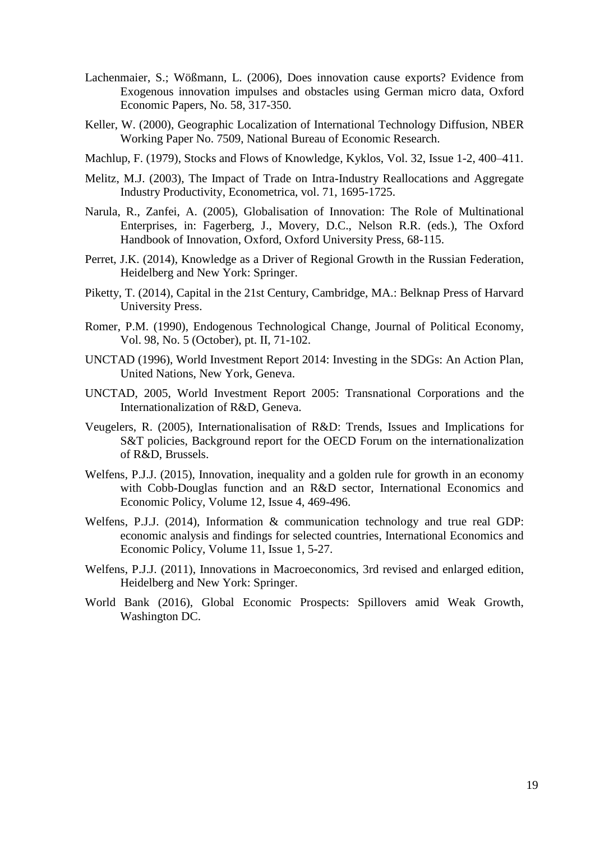- Lachenmaier, S.; Wößmann, L. (2006), Does innovation cause exports? Evidence from Exogenous innovation impulses and obstacles using German micro data, Oxford Economic Papers, No. 58, 317-350.
- Keller, W. (2000), Geographic Localization of International Technology Diffusion, NBER Working Paper No. 7509, National Bureau of Economic Research.
- Machlup, F. (1979), Stocks and Flows of Knowledge, Kyklos, [Vol. 32, Issue 1-2, 4](http://onlinelibrary.wiley.com/doi/10.1111/kykl.1979.32.issue-1-2/issuetoc)00–411.
- Melitz, M.J. (2003), [The Impact of Trade on Intra-Industry Reallocations and Aggregate](https://ideas.repec.org/a/ecm/emetrp/v71y2003i6p1695-1725.html)  [Industry Productivity,](https://ideas.repec.org/a/ecm/emetrp/v71y2003i6p1695-1725.html) [Econometrica,](https://ideas.repec.org/s/ecm/emetrp.html) vol. 71, 1695-1725.
- Narula, R., Zanfei, A. (2005), Globalisation of Innovation: The Role of Multinational Enterprises, in: Fagerberg, J., Movery, D.C., Nelson R.R. (eds.), The Oxford Handbook of Innovation, Oxford, Oxford University Press, 68-115.
- Perret, J.K. (2014), Knowledge as a Driver of Regional Growth in the Russian Federation, Heidelberg and New York: Springer.
- Piketty, T. (2014), Capital in the 21st Century, Cambridge, MA.: Belknap Press of Harvard University Press.
- Romer, P.M. (1990), Endogenous Technological Change, Journal of Political Economy, Vol. 98, No. 5 (October), pt. II, 71-102.
- UNCTAD (1996), World Investment Report 2014: Investing in the SDGs: An Action Plan, United Nations, New York, Geneva.
- UNCTAD, 2005, World Investment Report 2005: Transnational Corporations and the Internationalization of R&D, Geneva.
- Veugelers, R. (2005), Internationalisation of R&D: Trends, Issues and Implications for S&T policies, Background report for the OECD Forum on the internationalization of R&D, Brussels.
- Welfens, P.J.J. (2015), Innovation, inequality and a golden rule for growth in an economy with Cobb-Douglas function and an R&D sector, International Economics and Economic Policy, Volume 12, Issue 4, 469-496.
- Welfens, P.J.J. (2014), Information & communication technology and true real GDP: economic analysis and findings for selected countries, International Economics and Economic Policy, Volume 11, Issue 1, 5-27.
- Welfens, P.J.J. (2011), Innovations in Macroeconomics, 3rd revised and enlarged edition, Heidelberg and New York: Springer.
- World Bank (2016), Global Economic Prospects: Spillovers amid Weak Growth, Washington DC.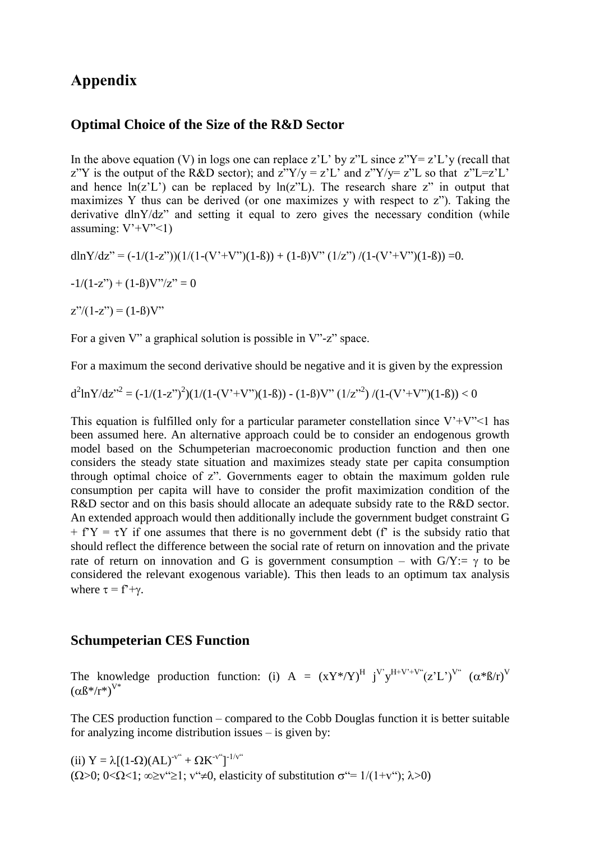### **Appendix**

#### **Optimal Choice of the Size of the R&D Sector**

In the above equation (V) in logs one can replace z'L' by z"L since  $Z''Y = Z'L'$  (recall that z"Y is the output of the R&D sector); and  $z$ "Y/y = z'L' and  $z$ "Y/y= z"L so that  $z$ "L=z'L' and hence  $ln(z'L')$  can be replaced by  $ln(z''L)$ . The research share z" in output that maximizes Y thus can be derived (or one maximizes y with respect to z"). Taking the derivative dlnY/dz" and setting it equal to zero gives the necessary condition (while assuming:  $V' + V'' < 1$ )

dlnY/dz" =  $(-1/(1-z^{\prime\prime}))(1/(1-(V^{\prime}+V^{\prime\prime})(1-\beta)) + (1-\beta)V^{\prime\prime}(1/z^{\prime\prime})/(1-(V^{\prime}+V^{\prime\prime})(1-\beta)) = 0.$ 

 $-1/(1-z'') + (1-\beta)V''/z'' = 0$ 

 $z''/(1-z'') = (1-\beta)V''$ 

For a given V" a graphical solution is possible in V"-z" space.

For a maximum the second derivative should be negative and it is given by the expression

$$
d^{2}lnY/dz''^{2} = (-1/(1-z'')^{2})(1/(1-(V'+V'')(1-\beta)) - (1-\beta)V''(1/z''^{2})/(1-(V'+V'')(1-\beta)) < 0
$$

This equation is fulfilled only for a particular parameter constellation since  $V^+V^{\prime\prime}$  has been assumed here. An alternative approach could be to consider an endogenous growth model based on the Schumpeterian macroeconomic production function and then one considers the steady state situation and maximizes steady state per capita consumption through optimal choice of z". Governments eager to obtain the maximum golden rule consumption per capita will have to consider the profit maximization condition of the R&D sector and on this basis should allocate an adequate subsidy rate to the R&D sector. An extended approach would then additionally include the government budget constraint G  $+ f^{\prime}Y = \tau Y$  if one assumes that there is no government debt (f' is the subsidy ratio that should reflect the difference between the social rate of return on innovation and the private rate of return on innovation and G is government consumption – with  $G/Y := \gamma$  to be considered the relevant exogenous variable). This then leads to an optimum tax analysis where  $\tau = f^2 + \gamma$ .

#### **Schumpeterian CES Function**

The knowledge production function: (i)  $A = (XY^* / Y)^H j^V y^{H+V^*+V^*}(z'L^*)^{V^*} (\alpha^* \beta / r)^V$  $(\alpha \beta^*/r^*)^{V^*}$ 

The CES production function – compared to the Cobb Douglas function it is better suitable for analyzing income distribution issues – is given by:

(ii)  $Y = \lambda [(1-\Omega)(AL)^{-v^{i}} + \Omega K^{-v^{i}}]^{-1/v^{i}}$  $(\Omega>0; 0<\Omega<1; \infty\geq v^{\prime\prime}\geq 1; v^{\prime\prime}\neq 0$ , elasticity of substitution  $\sigma^{\prime\prime}=1/(1+v^{\prime\prime}); \lambda>0)$